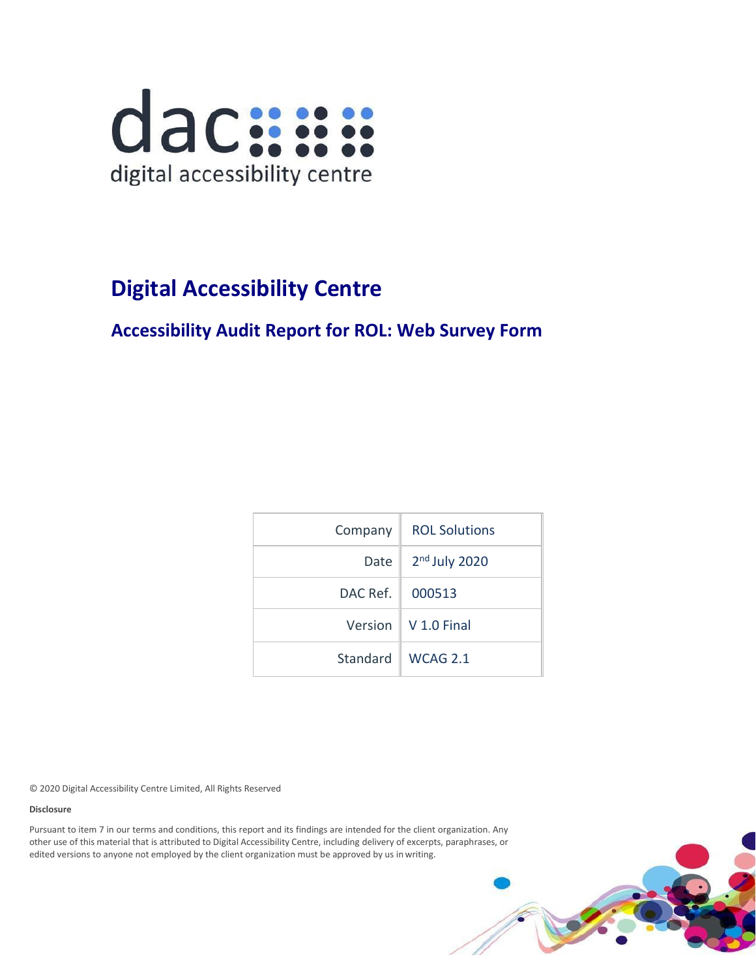

# <span id="page-0-0"></span>**Digital Accessibility Centre**

## <span id="page-0-1"></span>**Accessibility Audit Report for ROL: Web Survey Form**

| Company  | <b>ROL Solutions</b> |
|----------|----------------------|
| Date     | $2nd$ July 2020      |
| DAC Ref. | 000513               |
| Version  | V 1.0 Final          |
| Standard | <b>WCAG 2.1</b>      |

© 2020 Digital Accessibility Centre Limited, All Rights Reserved

#### **Disclosure**

Pursuant to item 7 in our terms and conditions, this report and its findings are intended for the client organization. Any other use of this material that is attributed to Digital Accessibility Centre, including delivery of excerpts, paraphrases, or edited versions to anyone not employed by the client organization must be approved by us in writing.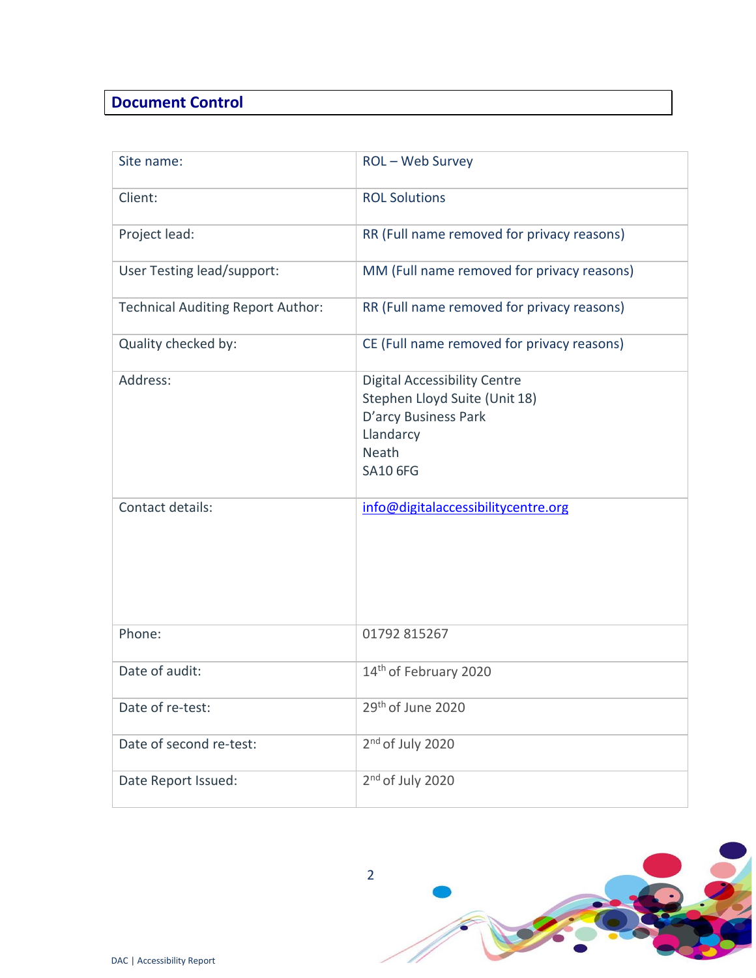## <span id="page-1-0"></span>**Document Control**

| Site name:                               | ROL - Web Survey                                                                                                                      |
|------------------------------------------|---------------------------------------------------------------------------------------------------------------------------------------|
| Client:                                  | <b>ROL Solutions</b>                                                                                                                  |
| Project lead:                            | RR (Full name removed for privacy reasons)                                                                                            |
| User Testing lead/support:               | MM (Full name removed for privacy reasons)                                                                                            |
| <b>Technical Auditing Report Author:</b> | RR (Full name removed for privacy reasons)                                                                                            |
| Quality checked by:                      | CE (Full name removed for privacy reasons)                                                                                            |
| Address:                                 | <b>Digital Accessibility Centre</b><br>Stephen Lloyd Suite (Unit 18)<br>D'arcy Business Park<br>Llandarcy<br>Neath<br><b>SA10 6FG</b> |
| Contact details:                         | info@digitalaccessibilitycentre.org                                                                                                   |
| Phone:                                   | 01792 815267                                                                                                                          |
| Date of audit:                           | 14th of February 2020                                                                                                                 |
| Date of re-test:                         | $29th$ of June 2020                                                                                                                   |
| Date of second re-test:                  | 2 <sup>nd</sup> of July 2020                                                                                                          |
| Date Report Issued:                      | 2 <sup>nd</sup> of July 2020                                                                                                          |

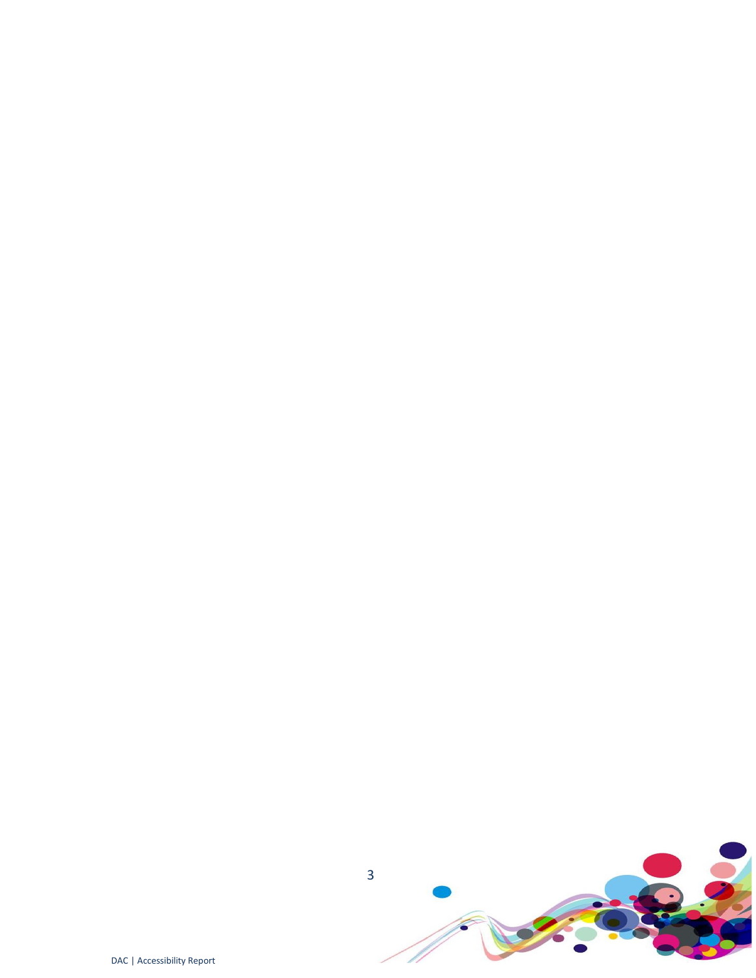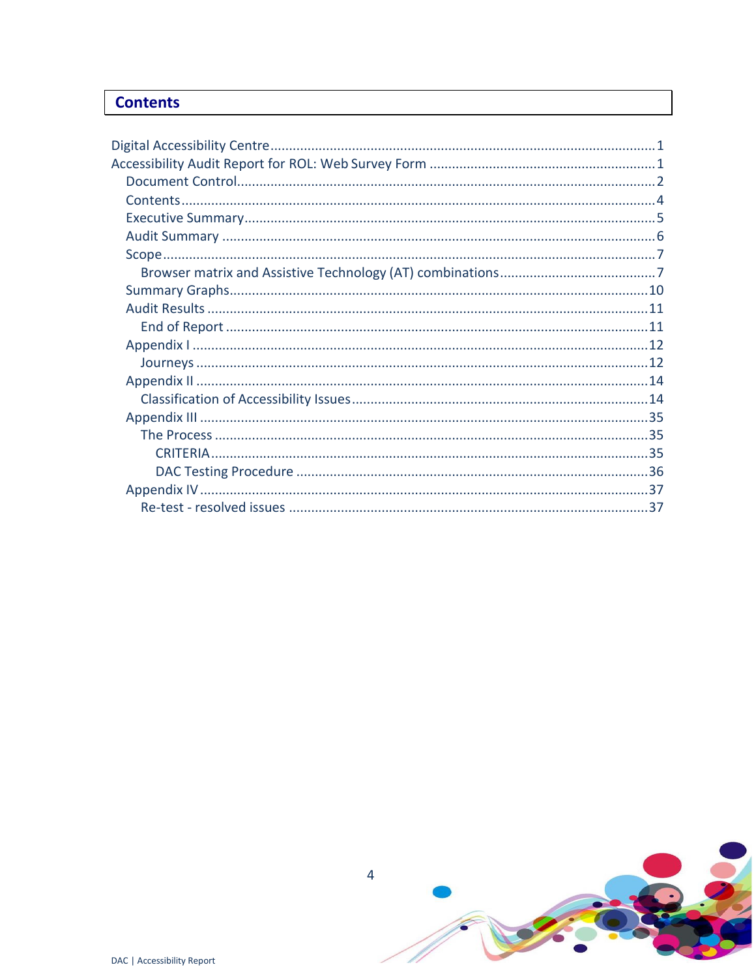## <span id="page-3-0"></span>**Contents**

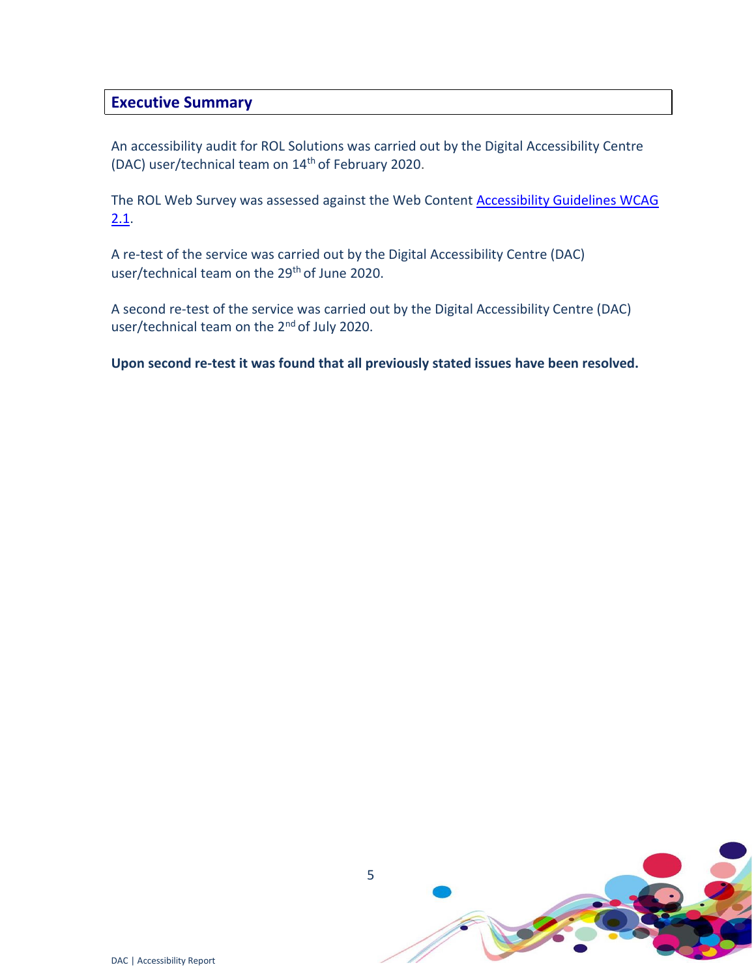### <span id="page-4-0"></span>**Executive Summary**

An accessibility audit for ROL Solutions was carried out by the Digital Accessibility Centre (DAC) user/technical team on 14<sup>th</sup> of February 2020.

The ROL Web Survey was assessed against the Web Content **Accessibility Guidelines WCAG** [2.1.](https://www.w3.org/TR/WCAG21/)

A re-test of the service was carried out by the Digital Accessibility Centre (DAC) user/technical team on the 29<sup>th</sup> of June 2020.

A second re-test of the service was carried out by the Digital Accessibility Centre (DAC) user/technical team on the 2<sup>nd</sup> of July 2020.

**Upon second re-test it was found that all previously stated issues have been resolved.**

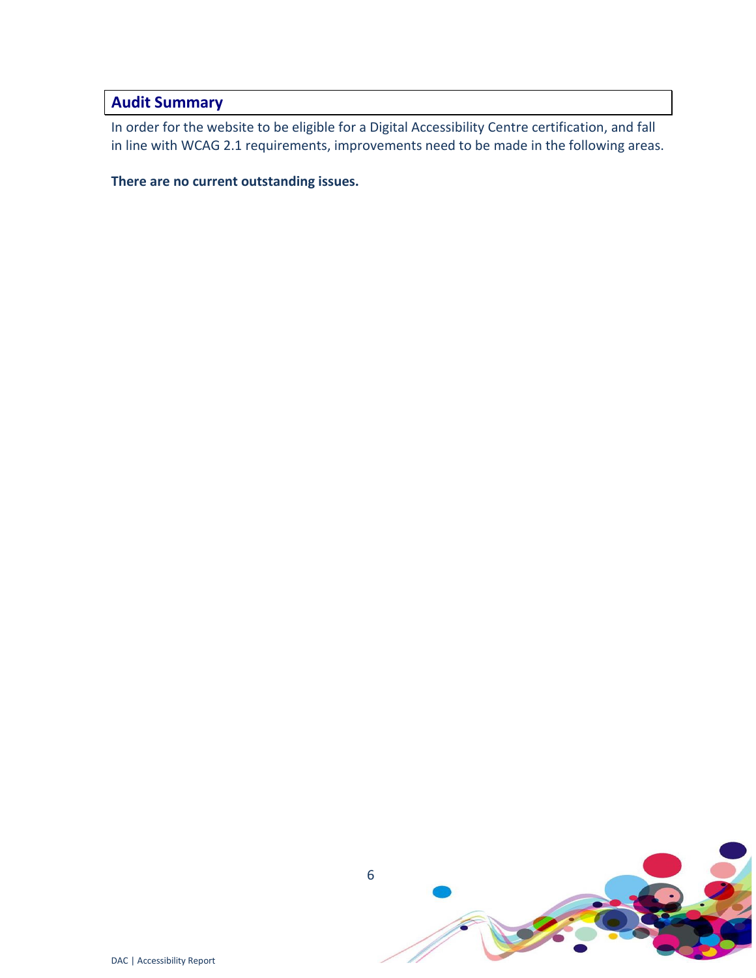### <span id="page-5-0"></span>**Audit Summary**

In order for the website to be eligible for a Digital Accessibility Centre certification, and fall in line with WCAG 2.1 requirements, improvements need to be made in the following areas.

**There are no current outstanding issues.**

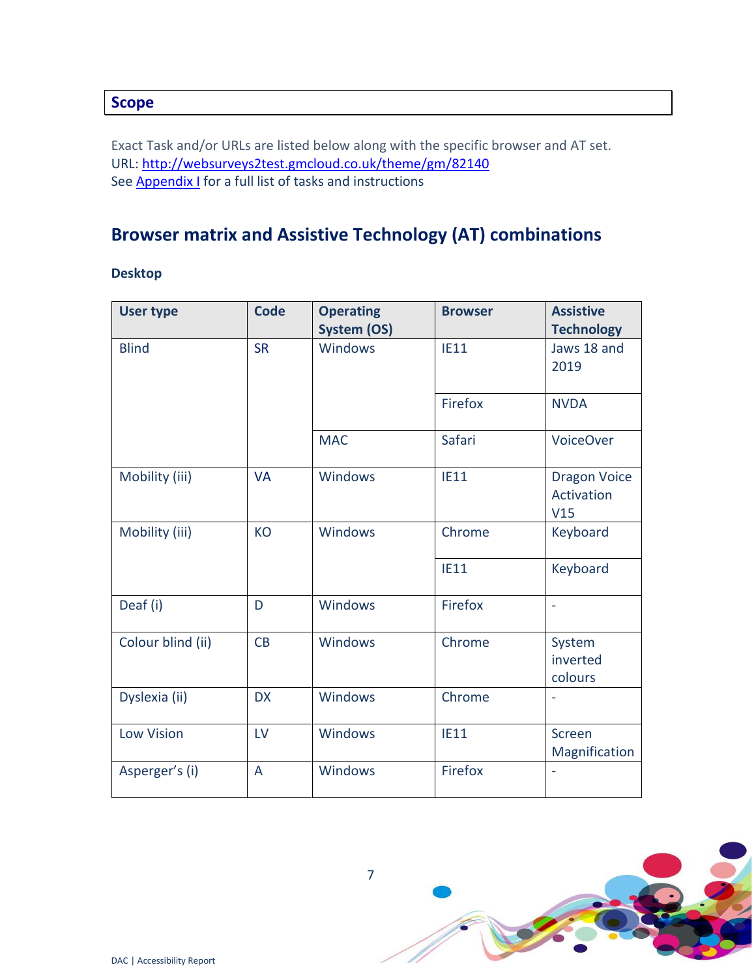### <span id="page-6-0"></span>**Scope**

Exact Task and/or URLs are listed below along with the specific browser and AT set. URL:<http://websurveys2test.gmcloud.co.uk/theme/gm/82140> See **Appendix I** for a full list of tasks and instructions

## <span id="page-6-1"></span>**Browser matrix and Assistive Technology (AT) combinations**

#### **Desktop**

| <b>User type</b>  | <b>Code</b> | <b>Operating</b><br><b>System (OS)</b> | <b>Browser</b> | <b>Assistive</b><br><b>Technology</b>    |
|-------------------|-------------|----------------------------------------|----------------|------------------------------------------|
| <b>Blind</b>      | <b>SR</b>   | Windows                                | <b>IE11</b>    | Jaws 18 and<br>2019                      |
|                   |             |                                        | Firefox        | <b>NVDA</b>                              |
|                   |             | <b>MAC</b>                             | Safari         | <b>VoiceOver</b>                         |
| Mobility (iii)    | <b>VA</b>   | Windows                                | <b>IE11</b>    | <b>Dragon Voice</b><br>Activation<br>V15 |
| Mobility (iii)    | <b>KO</b>   | Windows                                | Chrome         | Keyboard                                 |
|                   |             |                                        | <b>IE11</b>    | Keyboard                                 |
| Deaf (i)          | D           | Windows                                | Firefox        |                                          |
| Colour blind (ii) | CB          | Windows                                | Chrome         | System<br>inverted<br>colours            |
| Dyslexia (ii)     | <b>DX</b>   | Windows                                | Chrome         | $\overline{\phantom{a}}$                 |
| <b>Low Vision</b> | LV          | Windows                                | <b>IE11</b>    | Screen<br>Magnification                  |
| Asperger's (i)    | A           | Windows                                | Firefox        | L.                                       |

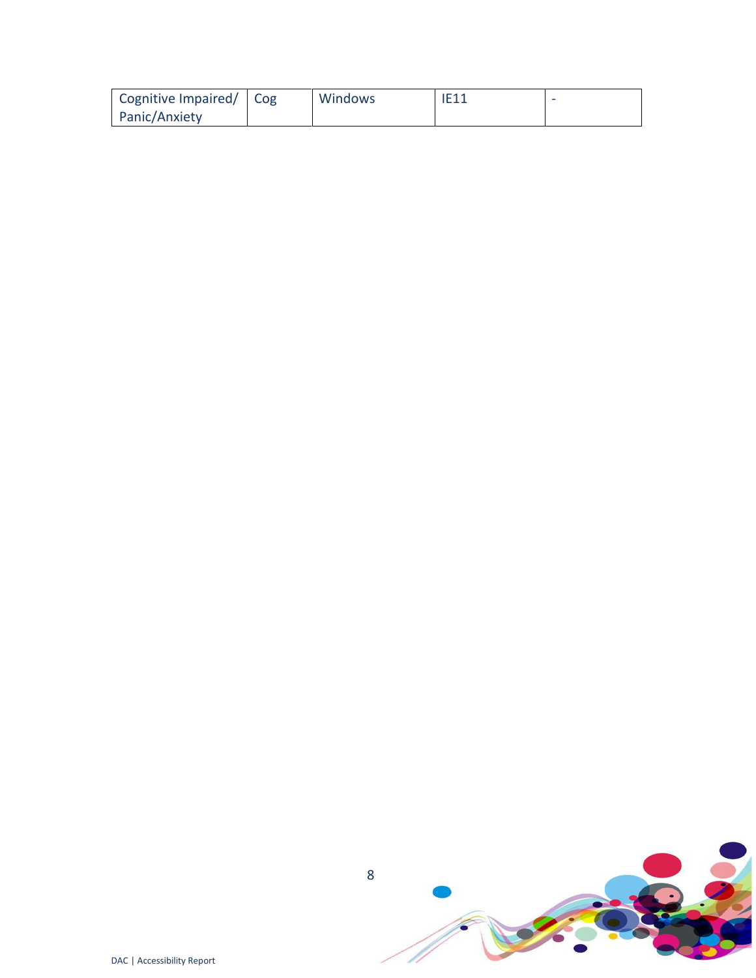| Cognitive Impaired/   Cog | <b>Windows</b> | <b>IE11</b> |  |
|---------------------------|----------------|-------------|--|
| Panic/Anxiety             |                |             |  |

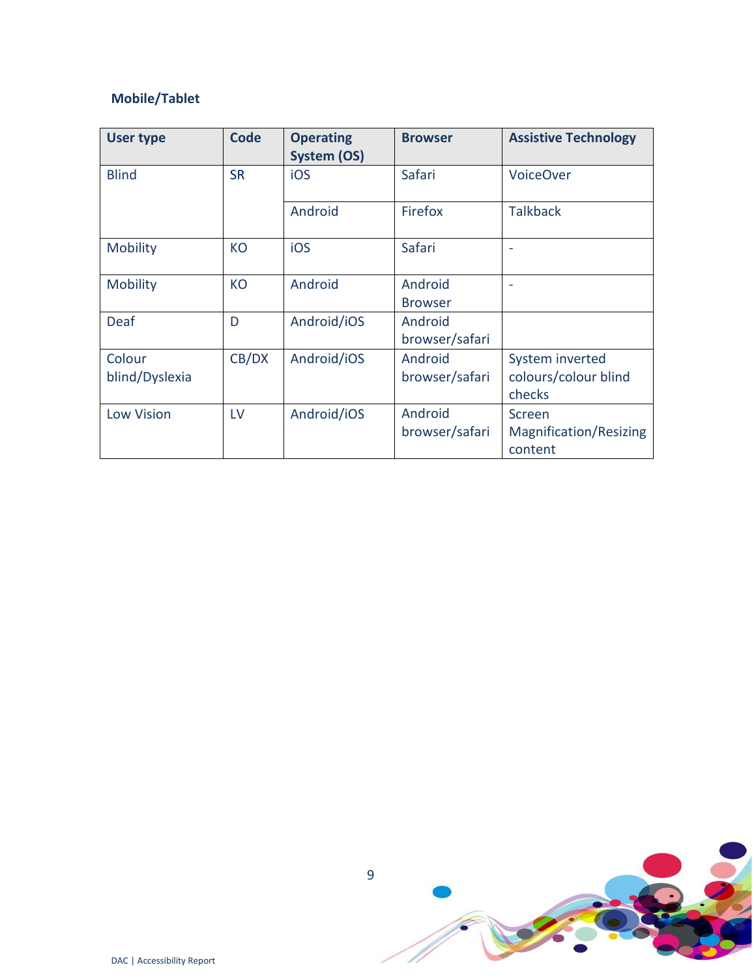## **Mobile/Tablet**

| <b>User type</b>         | <b>Code</b> | <b>Operating</b><br><b>System (OS)</b> | <b>Browser</b>            | <b>Assistive Technology</b>                       |
|--------------------------|-------------|----------------------------------------|---------------------------|---------------------------------------------------|
| <b>Blind</b>             | <b>SR</b>   | iOS                                    | Safari                    | <b>VoiceOver</b>                                  |
|                          |             | Android                                | Firefox                   | <b>Talkback</b>                                   |
| Mobility                 | <b>KO</b>   | iOS                                    | Safari                    | ۰                                                 |
| <b>Mobility</b>          | <b>KO</b>   | Android                                | Android<br><b>Browser</b> |                                                   |
| <b>Deaf</b>              | D           | Android/iOS                            | Android<br>browser/safari |                                                   |
| Colour<br>blind/Dyslexia | CB/DX       | Android/iOS                            | Android<br>browser/safari | System inverted<br>colours/colour blind<br>checks |
| <b>Low Vision</b>        | LV          | Android/iOS                            | Android<br>browser/safari | Screen<br>Magnification/Resizing<br>content       |

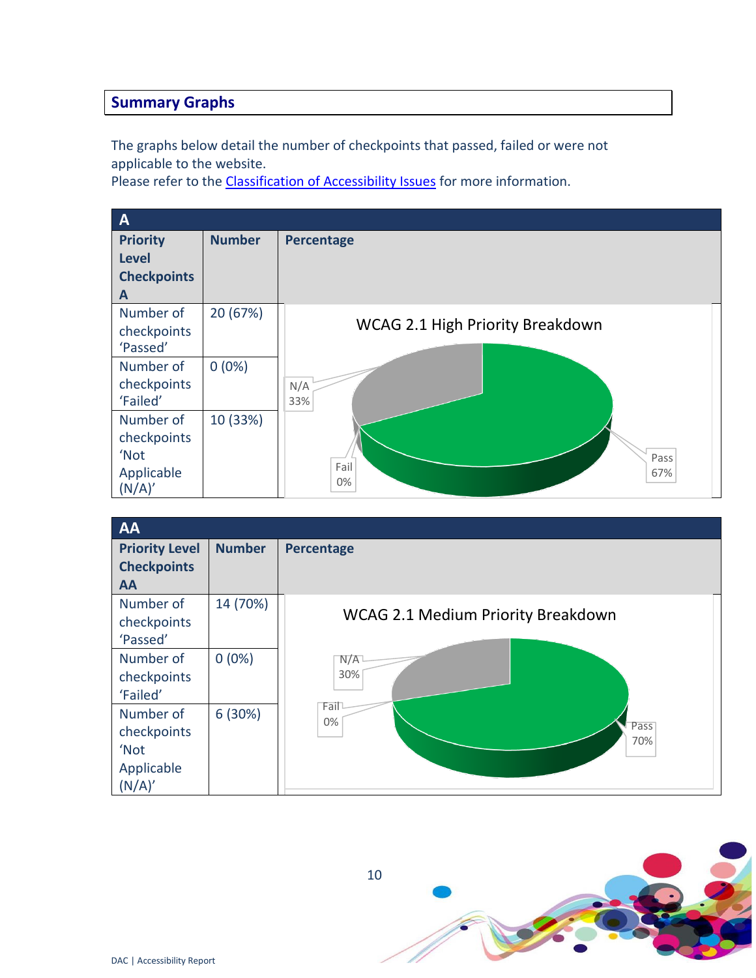## <span id="page-9-0"></span>**Summary Graphs**

The graphs below detail the number of checkpoints that passed, failed or were not applicable to the website.

Please refer to the [Classification of Accessibility Issues](#page-11-2) for more information.

| $\overline{A}$                                             |               |                                  |
|------------------------------------------------------------|---------------|----------------------------------|
| <b>Priority</b><br><b>Level</b><br><b>Checkpoints</b><br>A | <b>Number</b> | <b>Percentage</b>                |
| Number of<br>checkpoints<br>'Passed'                       | 20 (67%)      | WCAG 2.1 High Priority Breakdown |
| Number of<br>checkpoints<br>'Failed'                       | $0(0\%)$      | N/A<br>33%                       |
| Number of<br>checkpoints<br>'Not<br>Applicable<br>(N/A)'   | 10 (33%)      | Pass<br>Fail<br>67%<br>0%        |

| AA                                          |               |                                           |
|---------------------------------------------|---------------|-------------------------------------------|
| <b>Priority Level</b><br><b>Checkpoints</b> | <b>Number</b> | Percentage                                |
| AA                                          |               |                                           |
| Number of<br>checkpoints                    | 14 (70%)      | <b>WCAG 2.1 Medium Priority Breakdown</b> |
| 'Passed'                                    |               |                                           |
| Number of                                   | $0(0\%)$      | N/A                                       |
| checkpoints<br>'Failed'                     |               | 30%                                       |
| Number of                                   | 6(30%)        | Fail<br>0%                                |
| checkpoints                                 |               | Pass<br>70%                               |
| 'Not                                        |               |                                           |
| Applicable                                  |               |                                           |
| (N/A)'                                      |               |                                           |

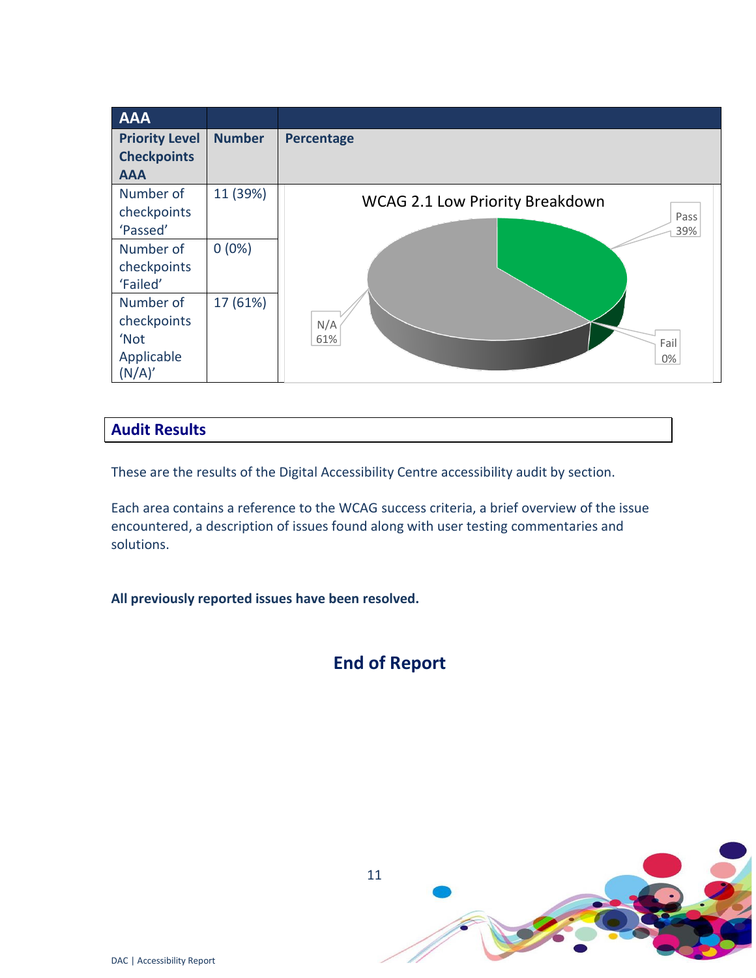| <b>AAA</b>                                  |               |                                        |
|---------------------------------------------|---------------|----------------------------------------|
| <b>Priority Level</b><br><b>Checkpoints</b> | <b>Number</b> | <b>Percentage</b>                      |
| <b>AAA</b>                                  |               |                                        |
| Number of                                   | 11 (39%)      | <b>WCAG 2.1 Low Priority Breakdown</b> |
| checkpoints                                 |               | Pass                                   |
| 'Passed'                                    |               | 39%                                    |
| Number of                                   | $0(0\%)$      |                                        |
| checkpoints<br>'Failed'                     |               |                                        |
| Number of                                   | 17 (61%)      |                                        |
| checkpoints                                 |               | N/A                                    |
| 'Not                                        |               | 61%<br>Fail                            |
| Applicable<br>(N/A)'                        |               | 0%                                     |

### <span id="page-10-0"></span>**Audit Results**

These are the results of the Digital Accessibility Centre accessibility audit by section.

Each area contains a reference to the WCAG success criteria, a brief overview of the issue encountered, a description of issues found along with user testing commentaries and solutions.

<span id="page-10-1"></span>**All previously reported issues have been resolved.**

## **End of Report**

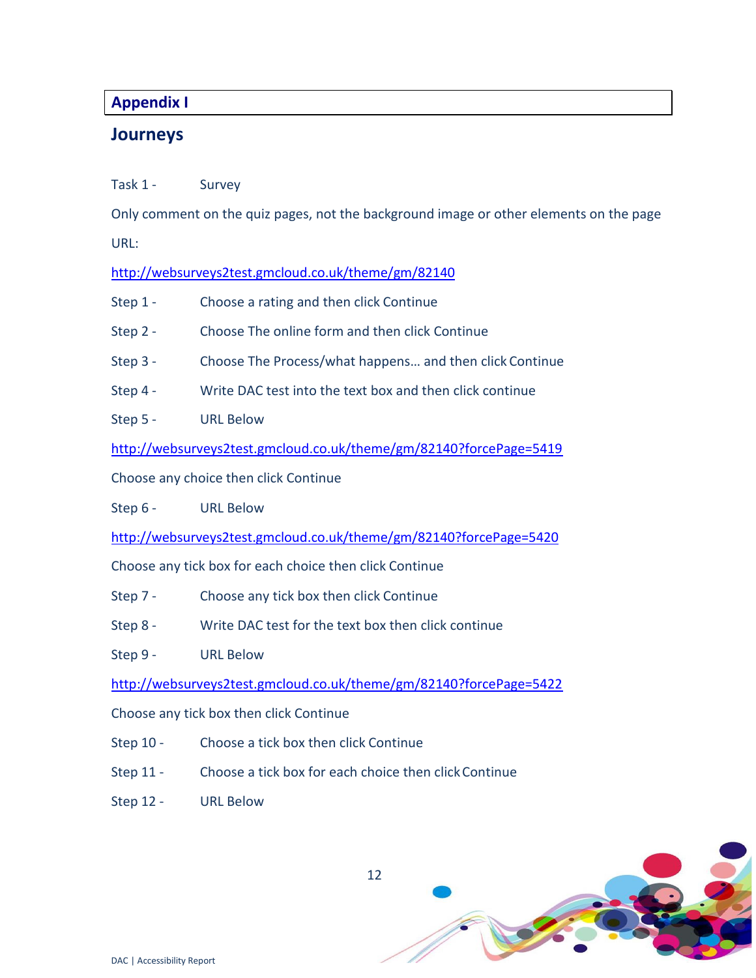### <span id="page-11-0"></span>**Appendix I**

#### <span id="page-11-1"></span>**Journeys**

#### <span id="page-11-2"></span>Task 1 - Survey

Only comment on the quiz pages, not the background image or other elements on the page

URL:

<http://websurveys2test.gmcloud.co.uk/theme/gm/82140>

- Step 1 Choose a rating and then click Continue
- Step 2 Choose The online form and then click Continue
- Step 3 Choose The Process/what happens… and then click Continue
- Step 4 Write DAC test into the text box and then click continue
- Step 5 URL Below

<http://websurveys2test.gmcloud.co.uk/theme/gm/82140?forcePage=5419>

Choose any choice then click Continue

Step 6 - URL Below

<http://websurveys2test.gmcloud.co.uk/theme/gm/82140?forcePage=5420>

Choose any tick box for each choice then click Continue

- Step 7 Choose any tick box then click Continue
- Step 8 Write DAC test for the text box then click continue
- Step 9 URL Below

<http://websurveys2test.gmcloud.co.uk/theme/gm/82140?forcePage=5422>

Choose any tick box then click Continue

- Step 10 Choose a tick box then click Continue
- Step 11 Choose a tick box for each choice then click Continue
- Step 12 URL Below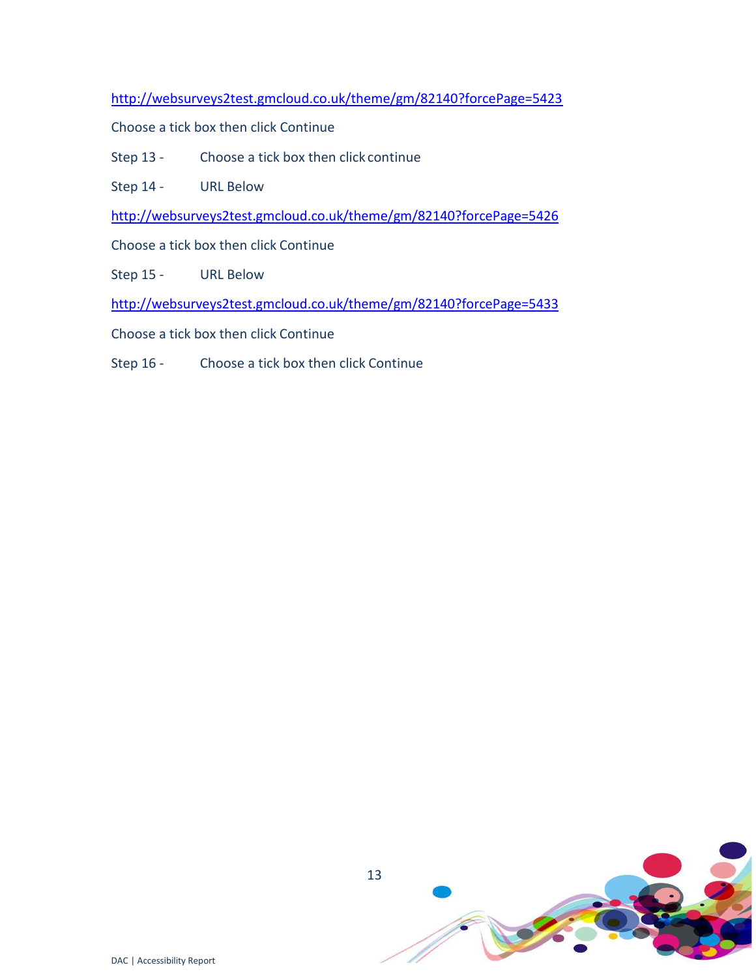<http://websurveys2test.gmcloud.co.uk/theme/gm/82140?forcePage=5423>

Choose a tick box then click Continue

Step 13 - Choose a tick box then click continue

Step 14 - URL Below

<http://websurveys2test.gmcloud.co.uk/theme/gm/82140?forcePage=5426>

Choose a tick box then click Continue

Step 15 - URL Below

<http://websurveys2test.gmcloud.co.uk/theme/gm/82140?forcePage=5433>

Choose a tick box then click Continue

Step 16 - Choose a tick box then click Continue

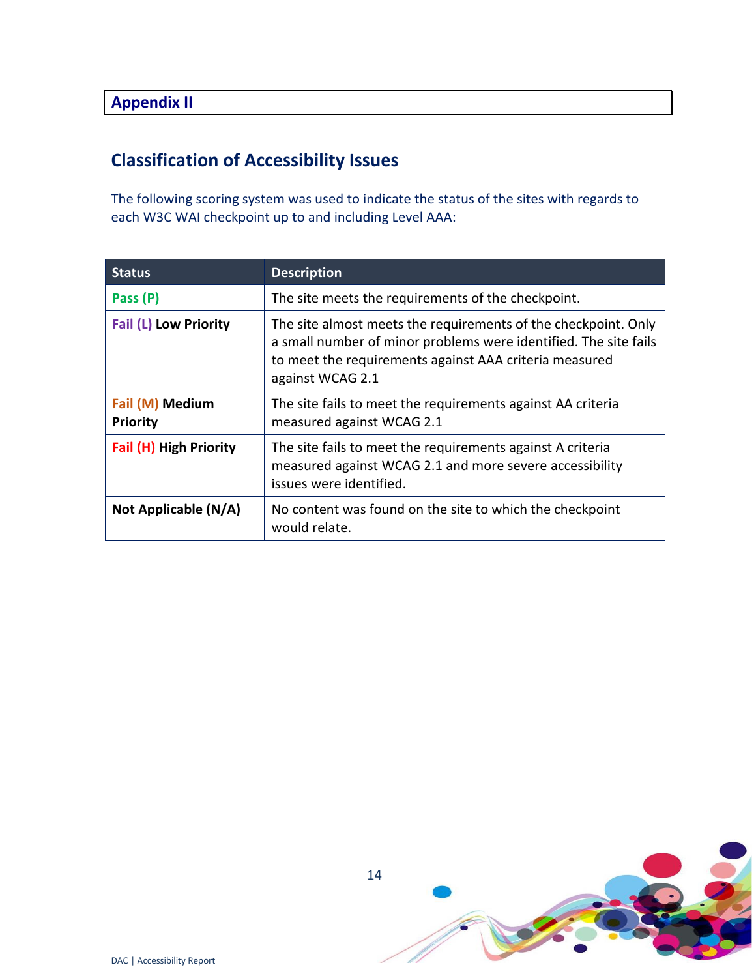## <span id="page-13-1"></span><span id="page-13-0"></span>**Classification of Accessibility Issues**

The following scoring system was used to indicate the status of the sites with regards to each W3C WAI checkpoint up to and including Level AAA:

| <b>Status</b>                      | <b>Description</b>                                                                                                                                                                                               |
|------------------------------------|------------------------------------------------------------------------------------------------------------------------------------------------------------------------------------------------------------------|
| Pass (P)                           | The site meets the requirements of the checkpoint.                                                                                                                                                               |
| <b>Fail (L) Low Priority</b>       | The site almost meets the requirements of the checkpoint. Only<br>a small number of minor problems were identified. The site fails<br>to meet the requirements against AAA criteria measured<br>against WCAG 2.1 |
| Fail (M) Medium<br><b>Priority</b> | The site fails to meet the requirements against AA criteria<br>measured against WCAG 2.1                                                                                                                         |
| Fail (H) High Priority             | The site fails to meet the requirements against A criteria<br>measured against WCAG 2.1 and more severe accessibility<br>issues were identified.                                                                 |
| Not Applicable (N/A)               | No content was found on the site to which the checkpoint<br>would relate.                                                                                                                                        |

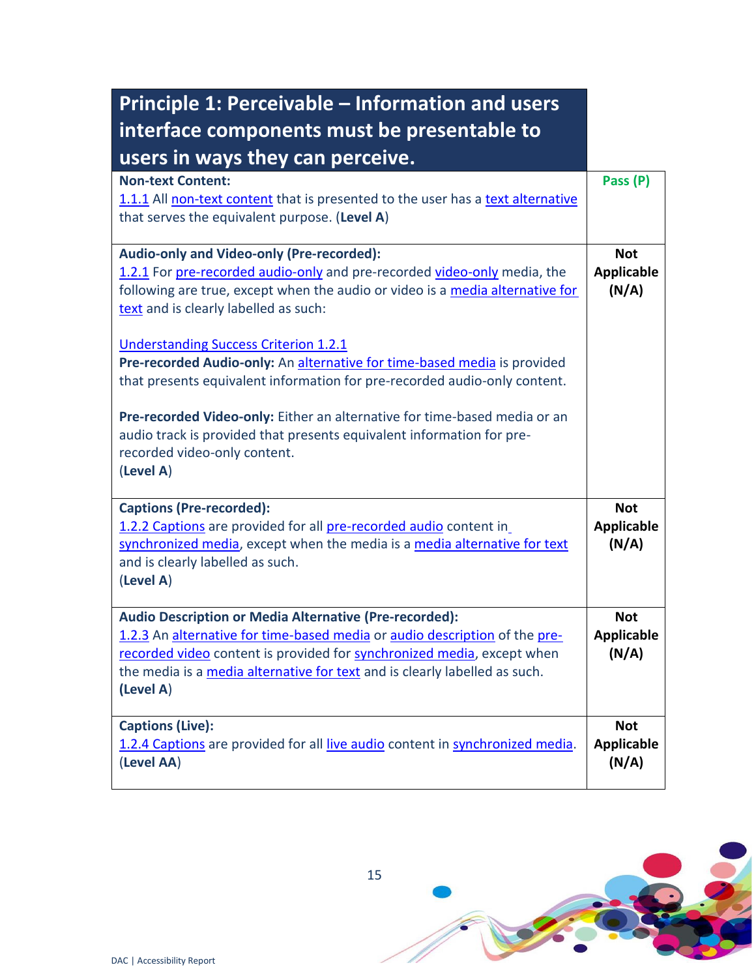| Principle 1: Perceivable - Information and users<br>interface components must be presentable to<br>users in ways they can perceive.                                                                                                                                                                       |                                          |
|-----------------------------------------------------------------------------------------------------------------------------------------------------------------------------------------------------------------------------------------------------------------------------------------------------------|------------------------------------------|
| <b>Non-text Content:</b><br>1.1.1 All non-text content that is presented to the user has a text alternative<br>that serves the equivalent purpose. (Level A)                                                                                                                                              | Pass (P)                                 |
| Audio-only and Video-only (Pre-recorded):<br>1.2.1 For pre-recorded audio-only and pre-recorded video-only media, the<br>following are true, except when the audio or video is a media alternative for<br>text and is clearly labelled as such:<br><b>Understanding Success Criterion 1.2.1</b>           | <b>Not</b><br><b>Applicable</b><br>(N/A) |
| Pre-recorded Audio-only: An alternative for time-based media is provided<br>that presents equivalent information for pre-recorded audio-only content.                                                                                                                                                     |                                          |
| Pre-recorded Video-only: Either an alternative for time-based media or an<br>audio track is provided that presents equivalent information for pre-<br>recorded video-only content.<br>(Level A)                                                                                                           |                                          |
| <b>Captions (Pre-recorded):</b><br>1.2.2 Captions are provided for all pre-recorded audio content in<br>synchronized media, except when the media is a media alternative for text<br>and is clearly labelled as such.<br>(Level A)                                                                        | <b>Not</b><br><b>Applicable</b><br>(N/A) |
| Audio Description or Media Alternative (Pre-recorded):<br>1.2.3 An alternative for time-based media or audio description of the pre-<br>recorded video content is provided for synchronized media, except when<br>the media is a media alternative for text and is clearly labelled as such.<br>(Level A) | <b>Not</b><br><b>Applicable</b><br>(N/A) |
| <b>Captions (Live):</b><br>1.2.4 Captions are provided for all live audio content in synchronized media.<br>(Level AA)                                                                                                                                                                                    | <b>Not</b><br><b>Applicable</b><br>(N/A) |

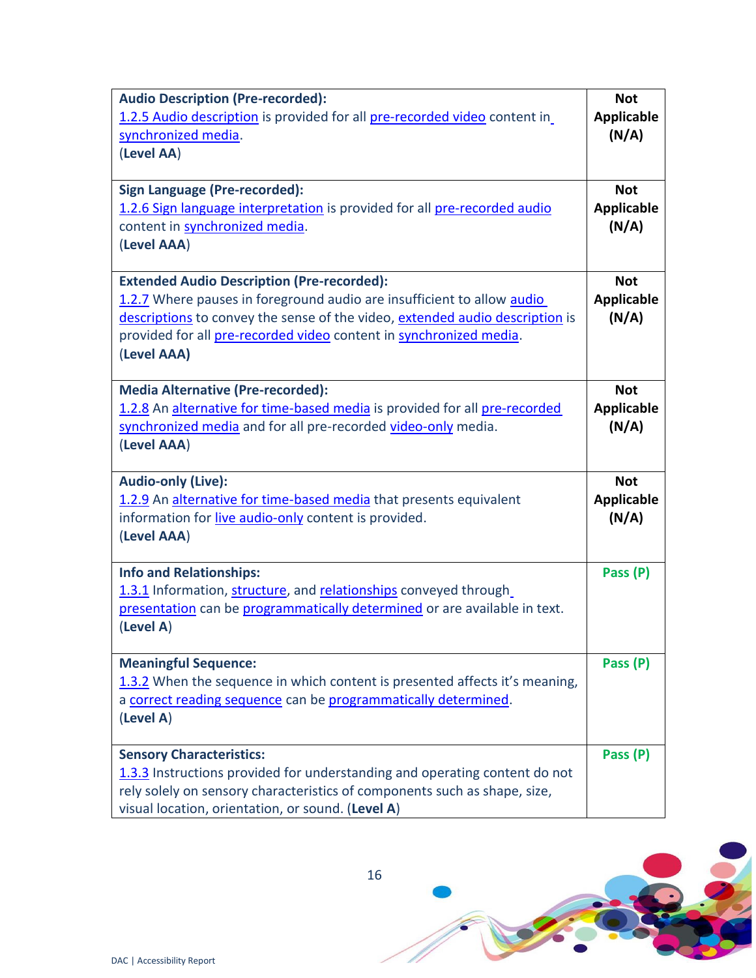| <b>Audio Description (Pre-recorded):</b>                                     | <b>Not</b>        |
|------------------------------------------------------------------------------|-------------------|
| 1.2.5 Audio description is provided for all pre-recorded video content in    | <b>Applicable</b> |
| synchronized media.                                                          | (N/A)             |
| (Level AA)                                                                   |                   |
|                                                                              |                   |
| <b>Sign Language (Pre-recorded):</b>                                         | <b>Not</b>        |
| 1.2.6 Sign language interpretation is provided for all pre-recorded audio    | <b>Applicable</b> |
| content in synchronized media.                                               | (N/A)             |
| (Level AAA)                                                                  |                   |
|                                                                              |                   |
| <b>Extended Audio Description (Pre-recorded):</b>                            | <b>Not</b>        |
| 1.2.7 Where pauses in foreground audio are insufficient to allow audio       | <b>Applicable</b> |
| descriptions to convey the sense of the video, extended audio description is | (N/A)             |
| provided for all pre-recorded video content in synchronized media.           |                   |
| (Level AAA)                                                                  |                   |
|                                                                              |                   |
| <b>Media Alternative (Pre-recorded):</b>                                     | <b>Not</b>        |
| 1.2.8 An alternative for time-based media is provided for all pre-recorded   | <b>Applicable</b> |
| synchronized media and for all pre-recorded video-only media.                | (N/A)             |
| (Level AAA)                                                                  |                   |
|                                                                              |                   |
| <b>Audio-only (Live):</b>                                                    | <b>Not</b>        |
| 1.2.9 An alternative for time-based media that presents equivalent           | <b>Applicable</b> |
| information for live audio-only content is provided.                         | (N/A)             |
| (Level AAA)                                                                  |                   |
|                                                                              |                   |
| <b>Info and Relationships:</b>                                               | Pass (P)          |
| 1.3.1 Information, structure, and relationships conveyed through             |                   |
| presentation can be programmatically determined or are available in text.    |                   |
| (Level A)                                                                    |                   |
| <b>Meaningful Sequence:</b>                                                  | Pass (P)          |
| 1.3.2 When the sequence in which content is presented affects it's meaning,  |                   |
| a correct reading sequence can be programmatically determined.               |                   |
| (Level A)                                                                    |                   |
|                                                                              |                   |
| <b>Sensory Characteristics:</b>                                              | Pass (P)          |
| 1.3.3 Instructions provided for understanding and operating content do not   |                   |
| rely solely on sensory characteristics of components such as shape, size,    |                   |
| visual location, orientation, or sound. (Level A)                            |                   |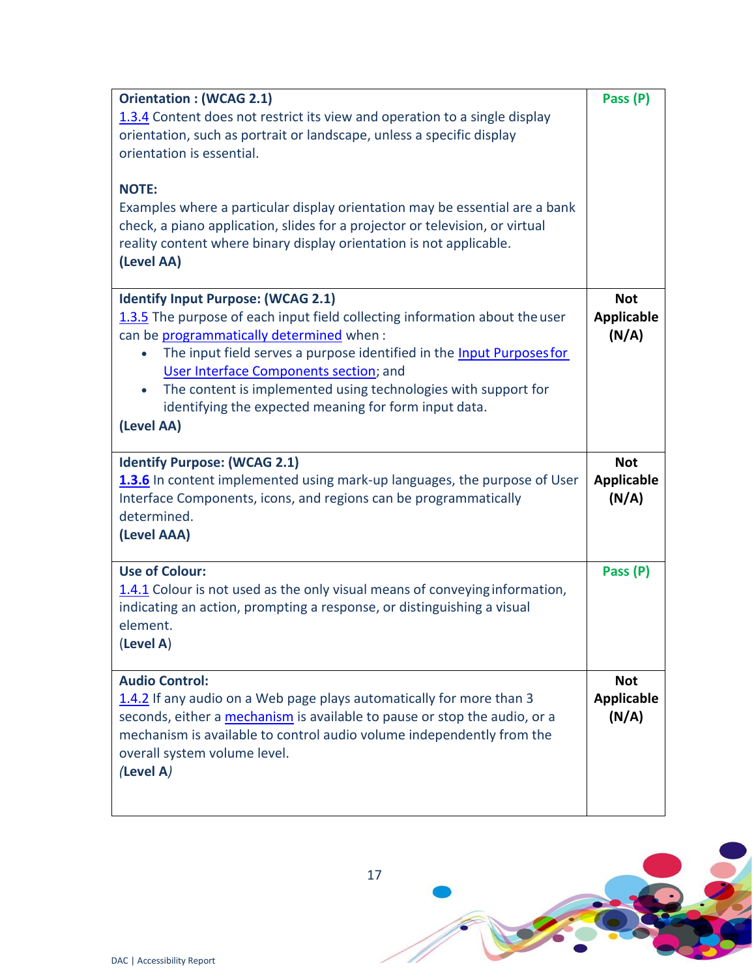| <b>Orientation: (WCAG 2.1)</b><br>1.3.4 Content does not restrict its view and operation to a single display<br>orientation, such as portrait or landscape, unless a specific display<br>orientation is essential.                                                                                                                                                                                                                                          | Pass (P)                                 |
|-------------------------------------------------------------------------------------------------------------------------------------------------------------------------------------------------------------------------------------------------------------------------------------------------------------------------------------------------------------------------------------------------------------------------------------------------------------|------------------------------------------|
| <b>NOTE:</b><br>Examples where a particular display orientation may be essential are a bank<br>check, a piano application, slides for a projector or television, or virtual<br>reality content where binary display orientation is not applicable.<br>(Level AA)                                                                                                                                                                                            |                                          |
| <b>Identify Input Purpose: (WCAG 2.1)</b><br>1.3.5 The purpose of each input field collecting information about the user<br>can be programmatically determined when :<br>The input field serves a purpose identified in the Input Purposes for<br>$\bullet$<br>User Interface Components section; and<br>The content is implemented using technologies with support for<br>$\bullet$<br>identifying the expected meaning for form input data.<br>(Level AA) | <b>Not</b><br><b>Applicable</b><br>(N/A) |
| <b>Identify Purpose: (WCAG 2.1)</b><br>1.3.6 In content implemented using mark-up languages, the purpose of User<br>Interface Components, icons, and regions can be programmatically<br>determined.<br>(Level AAA)                                                                                                                                                                                                                                          | <b>Not</b><br><b>Applicable</b><br>(N/A) |
| <b>Use of Colour:</b><br>1.4.1 Colour is not used as the only visual means of conveying information,<br>indicating an action, prompting a response, or distinguishing a visual                                                                                                                                                                                                                                                                              | Pass (P)                                 |
| element.<br>(Level A)                                                                                                                                                                                                                                                                                                                                                                                                                                       |                                          |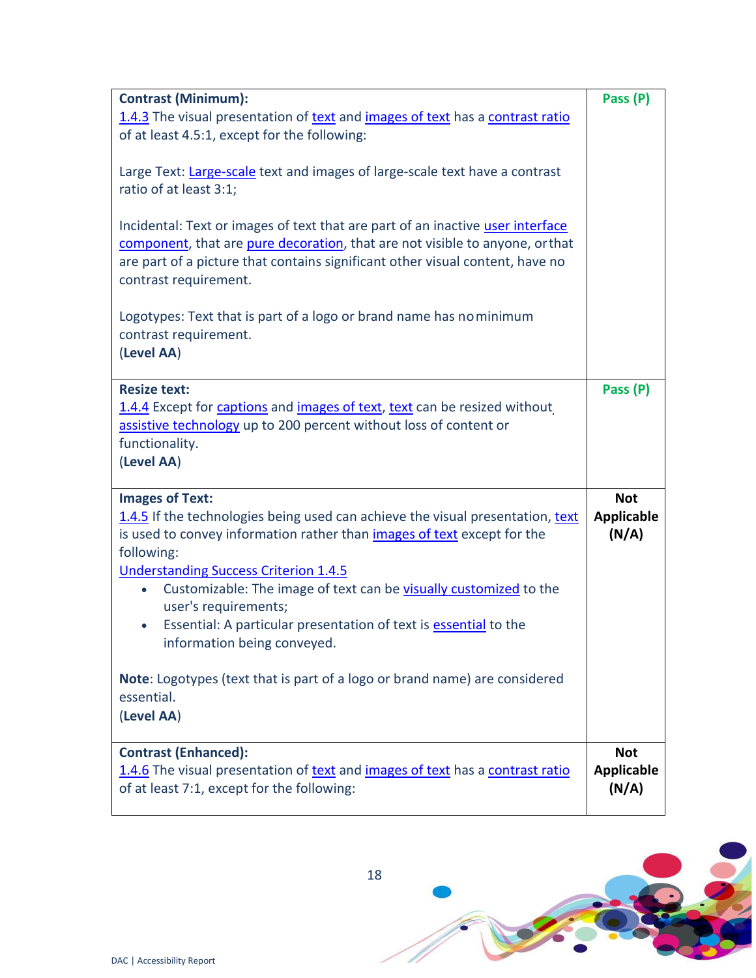| <b>Contrast (Minimum):</b>                                                                                                                                                                                                                                               | Pass (P)                                 |
|--------------------------------------------------------------------------------------------------------------------------------------------------------------------------------------------------------------------------------------------------------------------------|------------------------------------------|
| 1.4.3 The visual presentation of text and images of text has a contrast ratio                                                                                                                                                                                            |                                          |
| of at least 4.5:1, except for the following:                                                                                                                                                                                                                             |                                          |
| Large Text: Large-scale text and images of large-scale text have a contrast<br>ratio of at least 3:1;                                                                                                                                                                    |                                          |
| Incidental: Text or images of text that are part of an inactive user interface<br>component, that are pure decoration, that are not visible to anyone, or that<br>are part of a picture that contains significant other visual content, have no<br>contrast requirement. |                                          |
| Logotypes: Text that is part of a logo or brand name has no minimum<br>contrast requirement.<br>(Level AA)                                                                                                                                                               |                                          |
| <b>Resize text:</b>                                                                                                                                                                                                                                                      | Pass (P)                                 |
| 1.4.4 Except for captions and images of text, text can be resized without<br>assistive technology up to 200 percent without loss of content or<br>functionality.                                                                                                         |                                          |
| (Level AA)                                                                                                                                                                                                                                                               |                                          |
|                                                                                                                                                                                                                                                                          |                                          |
| <b>Images of Text:</b><br>1.4.5 If the technologies being used can achieve the visual presentation, text<br>is used to convey information rather than images of text except for the<br>following:                                                                        | <b>Not</b><br><b>Applicable</b><br>(N/A) |
| <b>Understanding Success Criterion 1.4.5</b><br>Customizable: The image of text can be visually customized to the<br>$\bullet$                                                                                                                                           |                                          |
| user's requirements;                                                                                                                                                                                                                                                     |                                          |
| Essential: A particular presentation of text is essential to the<br>$\bullet$                                                                                                                                                                                            |                                          |
| information being conveyed.                                                                                                                                                                                                                                              |                                          |
| Note: Logotypes (text that is part of a logo or brand name) are considered<br>essential.                                                                                                                                                                                 |                                          |
| (Level AA)                                                                                                                                                                                                                                                               |                                          |
|                                                                                                                                                                                                                                                                          |                                          |
| <b>Contrast (Enhanced):</b>                                                                                                                                                                                                                                              | <b>Not</b>                               |
| 1.4.6 The visual presentation of text and images of text has a contrast ratio<br>of at least 7:1, except for the following:                                                                                                                                              | <b>Applicable</b><br>(N/A)               |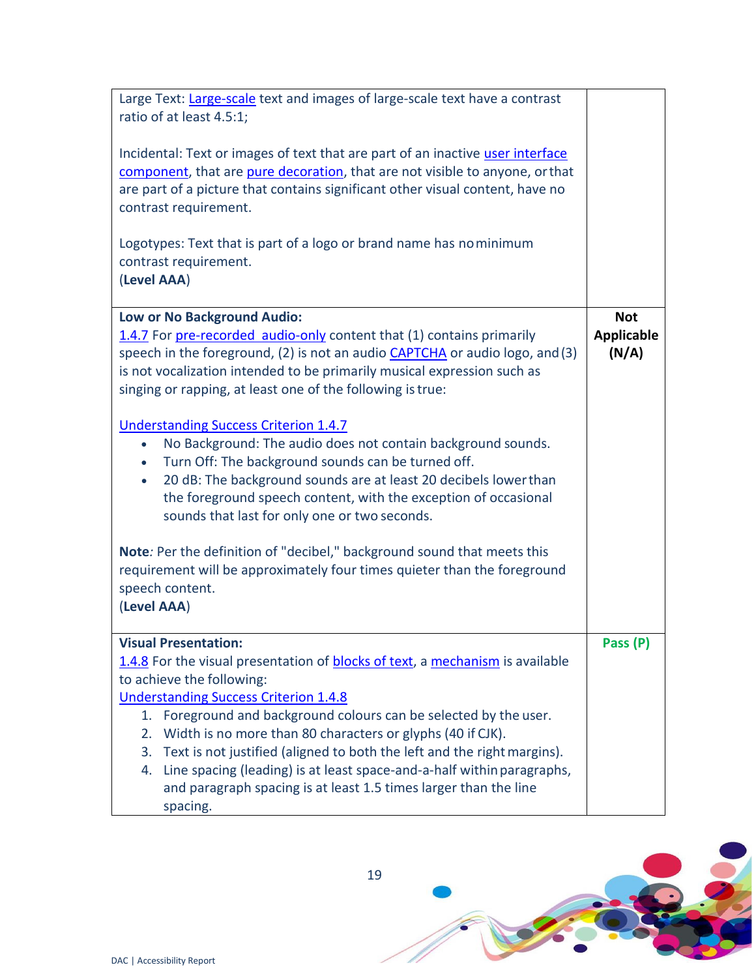| Large Text: Large-scale text and images of large-scale text have a contrast<br>ratio of at least 4.5:1;<br>Incidental: Text or images of text that are part of an inactive user interface<br>component, that are pure decoration, that are not visible to anyone, or that<br>are part of a picture that contains significant other visual content, have no<br>contrast requirement.                                                                                                                                                                                                                                                                                                                                                                                                                                                                                                                                         |                                          |  |
|-----------------------------------------------------------------------------------------------------------------------------------------------------------------------------------------------------------------------------------------------------------------------------------------------------------------------------------------------------------------------------------------------------------------------------------------------------------------------------------------------------------------------------------------------------------------------------------------------------------------------------------------------------------------------------------------------------------------------------------------------------------------------------------------------------------------------------------------------------------------------------------------------------------------------------|------------------------------------------|--|
| Logotypes: Text that is part of a logo or brand name has no minimum<br>contrast requirement.<br>(Level AAA)                                                                                                                                                                                                                                                                                                                                                                                                                                                                                                                                                                                                                                                                                                                                                                                                                 |                                          |  |
| Low or No Background Audio:<br>1.4.7 For pre-recorded audio-only content that (1) contains primarily<br>speech in the foreground, (2) is not an audio CAPTCHA or audio logo, and (3)<br>is not vocalization intended to be primarily musical expression such as<br>singing or rapping, at least one of the following is true:<br><b>Understanding Success Criterion 1.4.7</b><br>No Background: The audio does not contain background sounds.<br>$\bullet$<br>Turn Off: The background sounds can be turned off.<br>$\bullet$<br>20 dB: The background sounds are at least 20 decibels lower than<br>$\bullet$<br>the foreground speech content, with the exception of occasional<br>sounds that last for only one or two seconds.<br>Note: Per the definition of "decibel," background sound that meets this<br>requirement will be approximately four times quieter than the foreground<br>speech content.<br>(Level AAA) | <b>Not</b><br><b>Applicable</b><br>(N/A) |  |
| <b>Visual Presentation:</b>                                                                                                                                                                                                                                                                                                                                                                                                                                                                                                                                                                                                                                                                                                                                                                                                                                                                                                 | Pass (P)                                 |  |
| 1.4.8 For the visual presentation of blocks of text, a mechanism is available<br>to achieve the following:<br><b>Understanding Success Criterion 1.4.8</b><br>Foreground and background colours can be selected by the user.<br>1.<br>Width is no more than 80 characters or glyphs (40 if CJK).<br>2.<br>Text is not justified (aligned to both the left and the right margins).<br>3.<br>Line spacing (leading) is at least space-and-a-half within paragraphs,<br>4.<br>and paragraph spacing is at least 1.5 times larger than the line<br>spacing.                                                                                                                                                                                                                                                                                                                                                                     |                                          |  |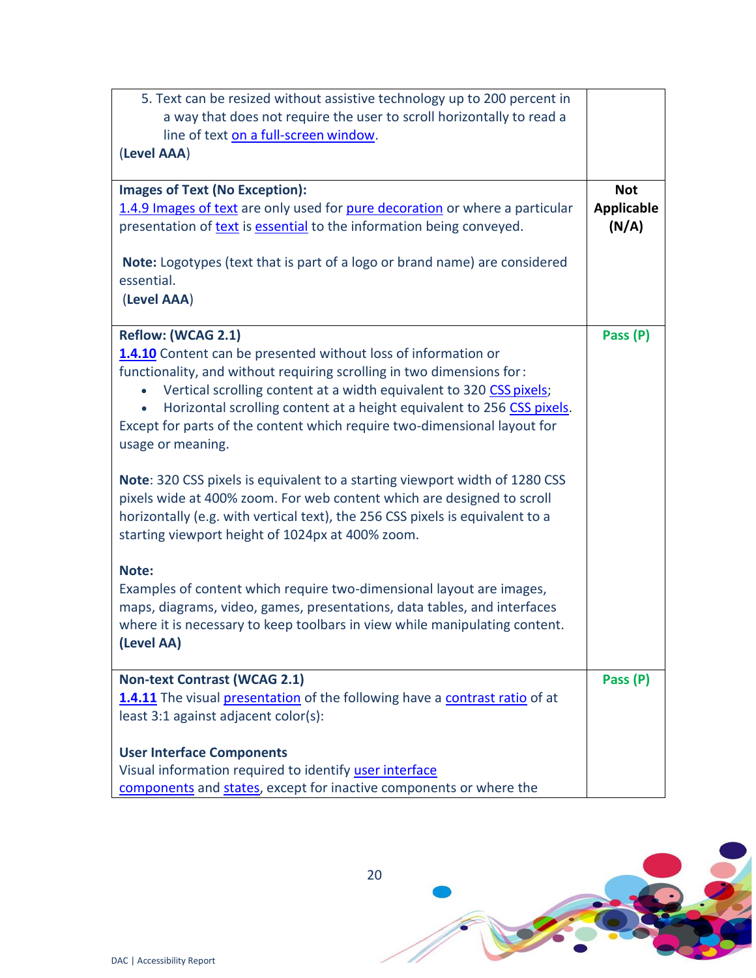| 5. Text can be resized without assistive technology up to 200 percent in<br>a way that does not require the user to scroll horizontally to read a<br>line of text on a full-screen window.                                                                                                                                                                                                                                   |                            |
|------------------------------------------------------------------------------------------------------------------------------------------------------------------------------------------------------------------------------------------------------------------------------------------------------------------------------------------------------------------------------------------------------------------------------|----------------------------|
| (Level AAA)                                                                                                                                                                                                                                                                                                                                                                                                                  |                            |
| <b>Images of Text (No Exception):</b>                                                                                                                                                                                                                                                                                                                                                                                        | <b>Not</b>                 |
| 1.4.9 Images of text are only used for pure decoration or where a particular<br>presentation of text is essential to the information being conveyed.                                                                                                                                                                                                                                                                         | <b>Applicable</b><br>(N/A) |
| Note: Logotypes (text that is part of a logo or brand name) are considered<br>essential.<br>(Level AAA)                                                                                                                                                                                                                                                                                                                      |                            |
|                                                                                                                                                                                                                                                                                                                                                                                                                              |                            |
| Reflow: (WCAG 2.1)<br>1.4.10 Content can be presented without loss of information or<br>functionality, and without requiring scrolling in two dimensions for:<br>Vertical scrolling content at a width equivalent to 320 CSS pixels;<br>Horizontal scrolling content at a height equivalent to 256 CSS pixels.<br>$\bullet$<br>Except for parts of the content which require two-dimensional layout for<br>usage or meaning. | Pass (P)                   |
| Note: 320 CSS pixels is equivalent to a starting viewport width of 1280 CSS<br>pixels wide at 400% zoom. For web content which are designed to scroll<br>horizontally (e.g. with vertical text), the 256 CSS pixels is equivalent to a<br>starting viewport height of 1024px at 400% zoom.                                                                                                                                   |                            |
| Note:<br>Examples of content which require two-dimensional layout are images,<br>maps, diagrams, video, games, presentations, data tables, and interfaces<br>where it is necessary to keep toolbars in view while manipulating content.<br>(Level AA)                                                                                                                                                                        |                            |
| <b>Non-text Contrast (WCAG 2.1)</b>                                                                                                                                                                                                                                                                                                                                                                                          | Pass (P)                   |
| 1.4.11 The visual presentation of the following have a contrast ratio of at<br>least 3:1 against adjacent color(s):                                                                                                                                                                                                                                                                                                          |                            |
| <b>User Interface Components</b><br>Visual information required to identify user interface                                                                                                                                                                                                                                                                                                                                   |                            |
| components and states, except for inactive components or where the                                                                                                                                                                                                                                                                                                                                                           |                            |

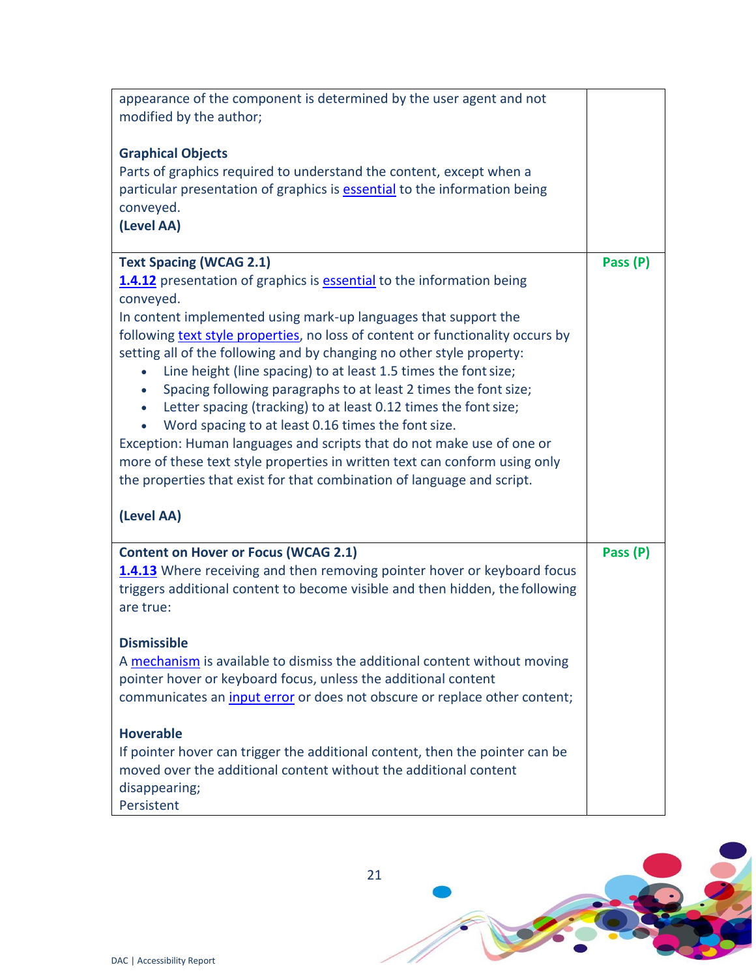| appearance of the component is determined by the user agent and not<br>modified by the author;                                                                                                                                                                                                                                                                                                                                                                                                                                                                                                                                                                                                                                                                                                                                                                                                                       |          |  |
|----------------------------------------------------------------------------------------------------------------------------------------------------------------------------------------------------------------------------------------------------------------------------------------------------------------------------------------------------------------------------------------------------------------------------------------------------------------------------------------------------------------------------------------------------------------------------------------------------------------------------------------------------------------------------------------------------------------------------------------------------------------------------------------------------------------------------------------------------------------------------------------------------------------------|----------|--|
| <b>Graphical Objects</b><br>Parts of graphics required to understand the content, except when a<br>particular presentation of graphics is <b>essential</b> to the information being<br>conveyed.<br>(Level AA)                                                                                                                                                                                                                                                                                                                                                                                                                                                                                                                                                                                                                                                                                                       |          |  |
| <b>Text Spacing (WCAG 2.1)</b><br>1.4.12 presentation of graphics is essential to the information being<br>conveyed.<br>In content implemented using mark-up languages that support the<br>following text style properties, no loss of content or functionality occurs by<br>setting all of the following and by changing no other style property:<br>Line height (line spacing) to at least 1.5 times the font size;<br>$\bullet$<br>Spacing following paragraphs to at least 2 times the font size;<br>$\bullet$<br>Letter spacing (tracking) to at least 0.12 times the font size;<br>$\bullet$<br>Word spacing to at least 0.16 times the font size.<br>$\bullet$<br>Exception: Human languages and scripts that do not make use of one or<br>more of these text style properties in written text can conform using only<br>the properties that exist for that combination of language and script.<br>(Level AA) | Pass (P) |  |
| <b>Content on Hover or Focus (WCAG 2.1)</b><br>1.4.13 Where receiving and then removing pointer hover or keyboard focus<br>triggers additional content to become visible and then hidden, the following<br>are true:                                                                                                                                                                                                                                                                                                                                                                                                                                                                                                                                                                                                                                                                                                 | Pass (P) |  |
| <b>Dismissible</b><br>A mechanism is available to dismiss the additional content without moving<br>pointer hover or keyboard focus, unless the additional content<br>communicates an <i>input error</i> or does not obscure or replace other content;                                                                                                                                                                                                                                                                                                                                                                                                                                                                                                                                                                                                                                                                |          |  |
| <b>Hoverable</b><br>If pointer hover can trigger the additional content, then the pointer can be<br>moved over the additional content without the additional content<br>disappearing;<br>Persistent                                                                                                                                                                                                                                                                                                                                                                                                                                                                                                                                                                                                                                                                                                                  |          |  |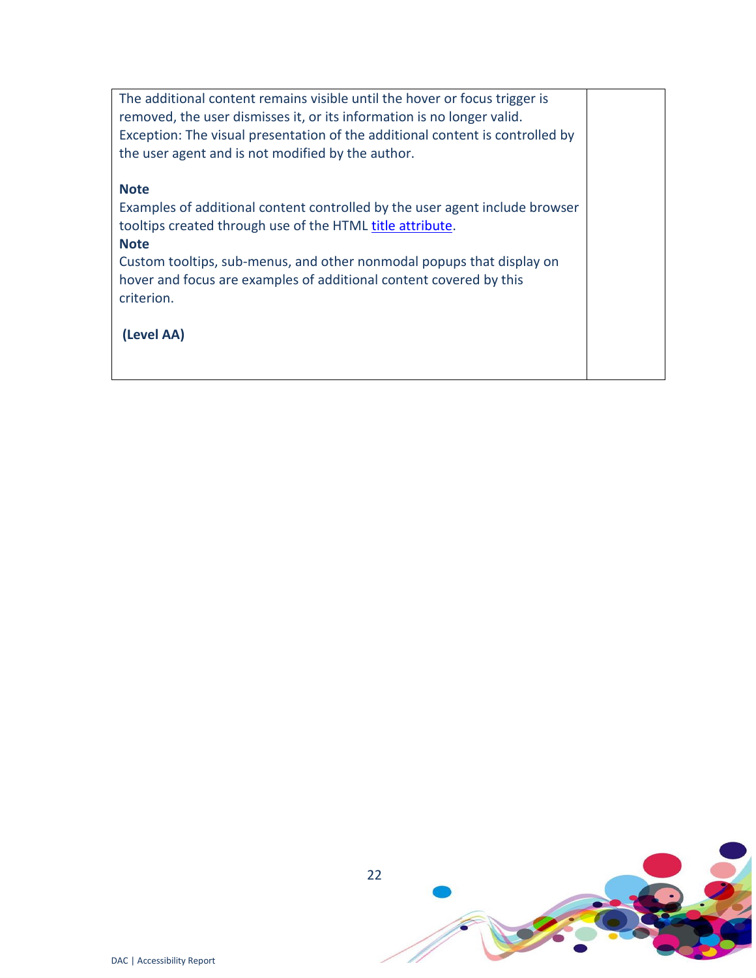The additional content remains visible until the hover or focus trigger is removed, the user dismisses it, or its information is no longer valid. Exception: The visual presentation of the additional content is controlled by the user agent and is not modified by the author.

#### **Note**

Examples of additional content controlled by the user agent include browser tooltips created through use of the HTML [title attribute.](https://www.w3.org/TR/html/dom.html#the-title-attribute)

#### **Note**

Custom tooltips, sub-menus, and other nonmodal popups that display on hover and focus are examples of additional content covered by this criterion.

**(Level AA)**

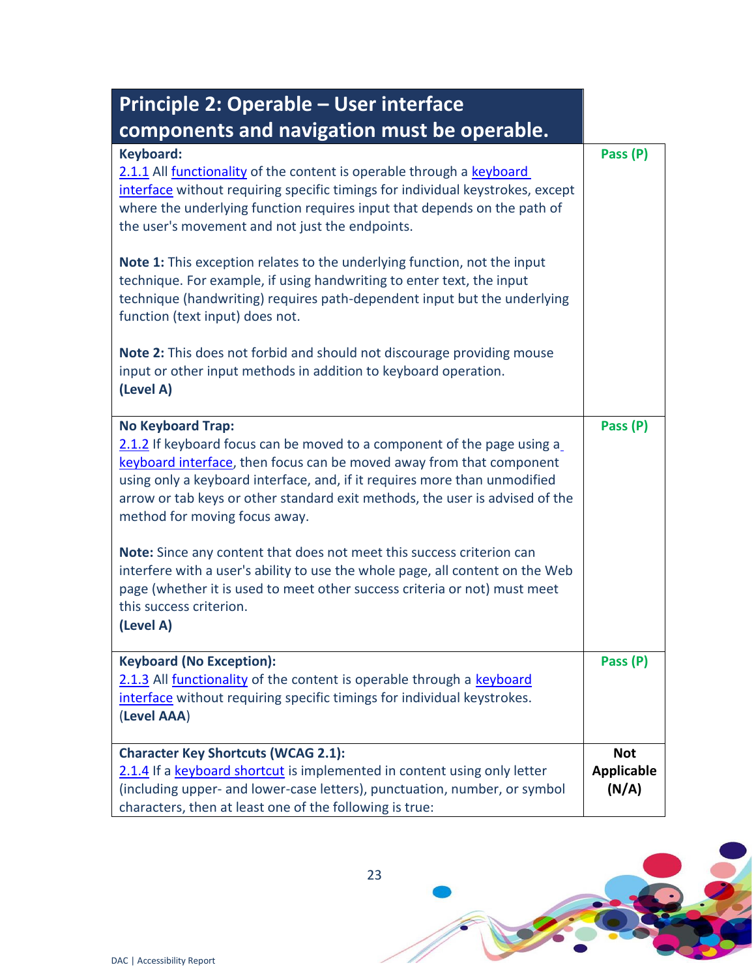| Principle 2: Operable - User interface                                                                                                                                                                                                                                                                                                                                    |                                          |
|---------------------------------------------------------------------------------------------------------------------------------------------------------------------------------------------------------------------------------------------------------------------------------------------------------------------------------------------------------------------------|------------------------------------------|
| components and navigation must be operable.                                                                                                                                                                                                                                                                                                                               |                                          |
| Keyboard:<br>2.1.1 All functionality of the content is operable through a keyboard<br>interface without requiring specific timings for individual keystrokes, except<br>where the underlying function requires input that depends on the path of<br>the user's movement and not just the endpoints.                                                                       | Pass (P)                                 |
| <b>Note 1:</b> This exception relates to the underlying function, not the input<br>technique. For example, if using handwriting to enter text, the input<br>technique (handwriting) requires path-dependent input but the underlying<br>function (text input) does not.                                                                                                   |                                          |
| Note 2: This does not forbid and should not discourage providing mouse<br>input or other input methods in addition to keyboard operation.<br>(Level A)                                                                                                                                                                                                                    |                                          |
| <b>No Keyboard Trap:</b><br>2.1.2 If keyboard focus can be moved to a component of the page using a<br>keyboard interface, then focus can be moved away from that component<br>using only a keyboard interface, and, if it requires more than unmodified<br>arrow or tab keys or other standard exit methods, the user is advised of the<br>method for moving focus away. | Pass (P)                                 |
| Note: Since any content that does not meet this success criterion can<br>interfere with a user's ability to use the whole page, all content on the Web<br>page (whether it is used to meet other success criteria or not) must meet<br>this success criterion.<br>(Level A)                                                                                               |                                          |
| <b>Keyboard (No Exception):</b><br>2.1.3 All functionality of the content is operable through a keyboard<br>interface without requiring specific timings for individual keystrokes.<br>(Level AAA)                                                                                                                                                                        | Pass (P)                                 |
| <b>Character Key Shortcuts (WCAG 2.1):</b><br>2.1.4 If a keyboard shortcut is implemented in content using only letter<br>(including upper- and lower-case letters), punctuation, number, or symbol<br>characters, then at least one of the following is true:                                                                                                            | <b>Not</b><br><b>Applicable</b><br>(N/A) |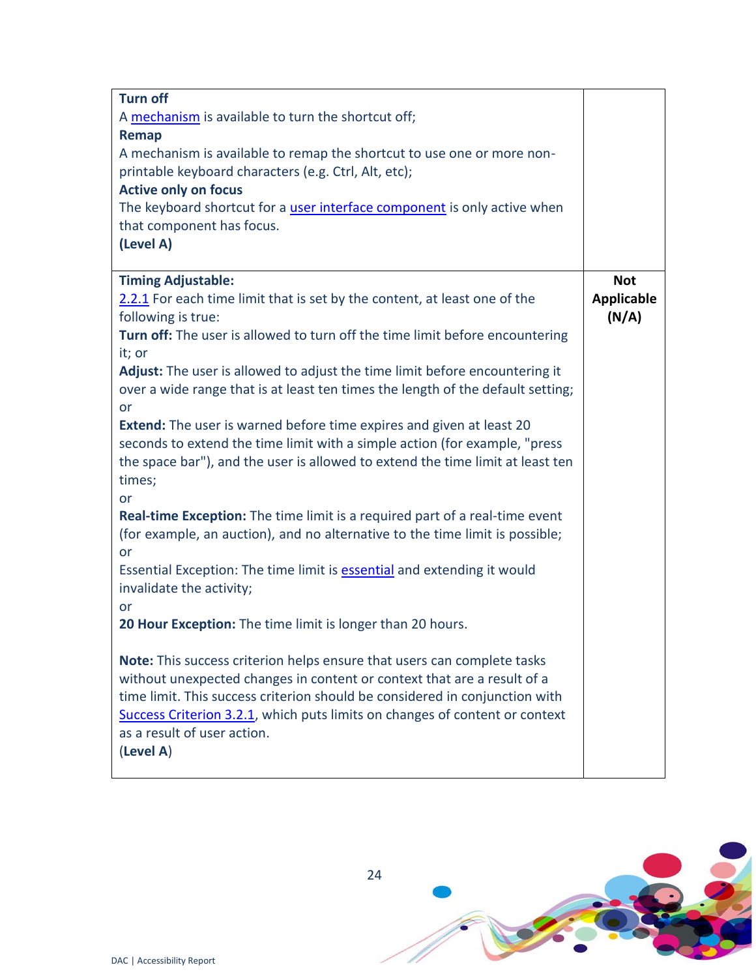| <b>Turn off</b><br>A mechanism is available to turn the shortcut off;<br>Remap<br>A mechanism is available to remap the shortcut to use one or more non-<br>printable keyboard characters (e.g. Ctrl, Alt, etc);<br><b>Active only on focus</b><br>The keyboard shortcut for a user interface component is only active when<br>that component has focus.<br>(Level A)                                                                                                                                                                                                                                                                                                                                                                                                                                                                                                                                                                                                                                                                                                                                                                                                                                                                                                                                                                                                                |                                          |
|--------------------------------------------------------------------------------------------------------------------------------------------------------------------------------------------------------------------------------------------------------------------------------------------------------------------------------------------------------------------------------------------------------------------------------------------------------------------------------------------------------------------------------------------------------------------------------------------------------------------------------------------------------------------------------------------------------------------------------------------------------------------------------------------------------------------------------------------------------------------------------------------------------------------------------------------------------------------------------------------------------------------------------------------------------------------------------------------------------------------------------------------------------------------------------------------------------------------------------------------------------------------------------------------------------------------------------------------------------------------------------------|------------------------------------------|
| <b>Timing Adjustable:</b><br>2.2.1 For each time limit that is set by the content, at least one of the<br>following is true:<br>Turn off: The user is allowed to turn off the time limit before encountering<br>it; or<br>Adjust: The user is allowed to adjust the time limit before encountering it<br>over a wide range that is at least ten times the length of the default setting;<br>or<br><b>Extend:</b> The user is warned before time expires and given at least 20<br>seconds to extend the time limit with a simple action (for example, "press<br>the space bar"), and the user is allowed to extend the time limit at least ten<br>times;<br>or<br>Real-time Exception: The time limit is a required part of a real-time event<br>(for example, an auction), and no alternative to the time limit is possible;<br>or<br>Essential Exception: The time limit is <b>essential</b> and extending it would<br>invalidate the activity;<br>or<br>20 Hour Exception: The time limit is longer than 20 hours.<br>Note: This success criterion helps ensure that users can complete tasks<br>without unexpected changes in content or context that are a result of a<br>time limit. This success criterion should be considered in conjunction with<br>Success Criterion 3.2.1, which puts limits on changes of content or context<br>as a result of user action.<br>(Level A) | <b>Not</b><br><b>Applicable</b><br>(N/A) |

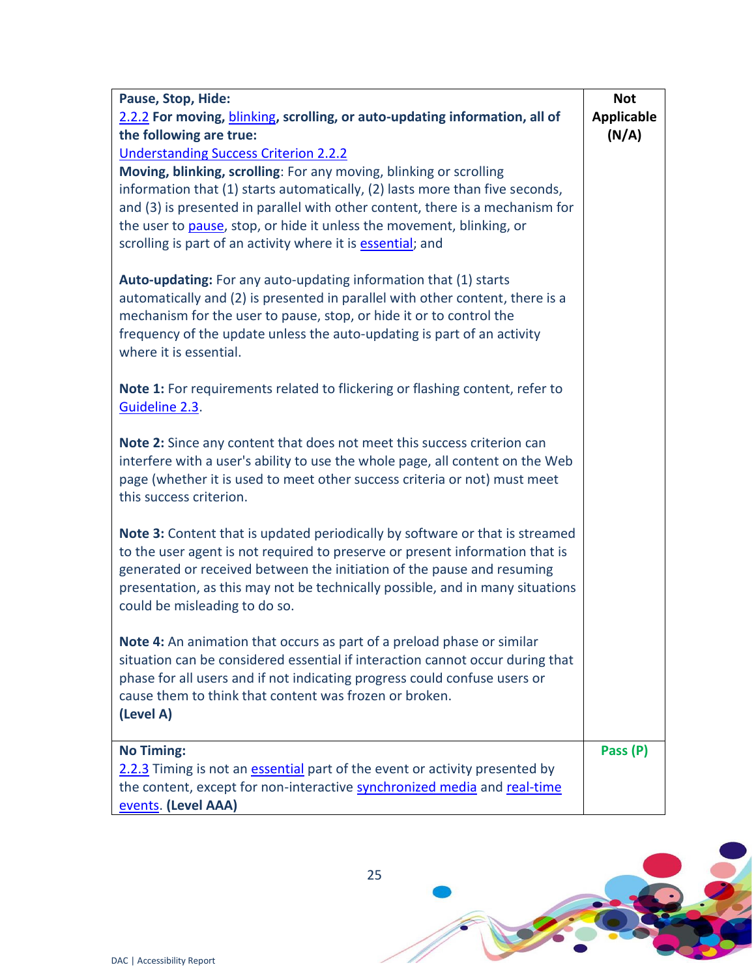| Pause, Stop, Hide:                                                            | <b>Not</b>        |
|-------------------------------------------------------------------------------|-------------------|
| 2.2.2 For moving, blinking, scrolling, or auto-updating information, all of   | <b>Applicable</b> |
| the following are true:                                                       | (N/A)             |
| <b>Understanding Success Criterion 2.2.2</b>                                  |                   |
| Moving, blinking, scrolling: For any moving, blinking or scrolling            |                   |
| information that (1) starts automatically, (2) lasts more than five seconds,  |                   |
| and (3) is presented in parallel with other content, there is a mechanism for |                   |
| the user to pause, stop, or hide it unless the movement, blinking, or         |                   |
| scrolling is part of an activity where it is essential; and                   |                   |
|                                                                               |                   |
| Auto-updating: For any auto-updating information that (1) starts              |                   |
| automatically and (2) is presented in parallel with other content, there is a |                   |
| mechanism for the user to pause, stop, or hide it or to control the           |                   |
| frequency of the update unless the auto-updating is part of an activity       |                   |
| where it is essential.                                                        |                   |
| Note 1: For requirements related to flickering or flashing content, refer to  |                   |
| Guideline 2.3.                                                                |                   |
|                                                                               |                   |
| Note 2: Since any content that does not meet this success criterion can       |                   |
| interfere with a user's ability to use the whole page, all content on the Web |                   |
| page (whether it is used to meet other success criteria or not) must meet     |                   |
| this success criterion.                                                       |                   |
|                                                                               |                   |
| Note 3: Content that is updated periodically by software or that is streamed  |                   |
| to the user agent is not required to preserve or present information that is  |                   |
| generated or received between the initiation of the pause and resuming        |                   |
| presentation, as this may not be technically possible, and in many situations |                   |
| could be misleading to do so.                                                 |                   |
|                                                                               |                   |
| Note 4: An animation that occurs as part of a preload phase or similar        |                   |
| situation can be considered essential if interaction cannot occur during that |                   |
| phase for all users and if not indicating progress could confuse users or     |                   |
| cause them to think that content was frozen or broken.                        |                   |
| (Level A)                                                                     |                   |
| <b>No Timing:</b>                                                             | Pass (P)          |
| 2.2.3 Timing is not an essential part of the event or activity presented by   |                   |
| the content, except for non-interactive synchronized media and real-time      |                   |
| events. (Level AAA)                                                           |                   |

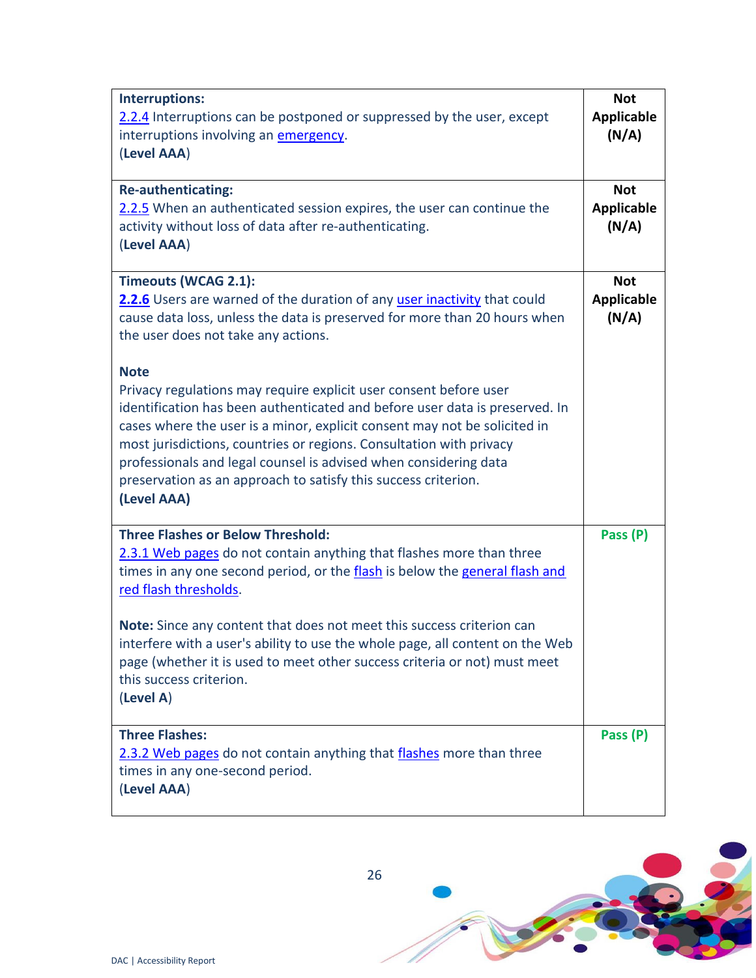| Interruptions:<br>2.2.4 Interruptions can be postponed or suppressed by the user, except<br>interruptions involving an emergency.<br>(Level AAA)                                                                                                                                                                                                                                                                                                                         | <b>Not</b><br><b>Applicable</b><br>(N/A) |
|--------------------------------------------------------------------------------------------------------------------------------------------------------------------------------------------------------------------------------------------------------------------------------------------------------------------------------------------------------------------------------------------------------------------------------------------------------------------------|------------------------------------------|
| <b>Re-authenticating:</b><br>2.2.5 When an authenticated session expires, the user can continue the<br>activity without loss of data after re-authenticating.<br>(Level AAA)                                                                                                                                                                                                                                                                                             | <b>Not</b><br><b>Applicable</b><br>(N/A) |
| <b>Timeouts (WCAG 2.1):</b><br>2.2.6 Users are warned of the duration of any user inactivity that could<br>cause data loss, unless the data is preserved for more than 20 hours when<br>the user does not take any actions.                                                                                                                                                                                                                                              | <b>Not</b><br><b>Applicable</b><br>(N/A) |
| <b>Note</b><br>Privacy regulations may require explicit user consent before user<br>identification has been authenticated and before user data is preserved. In<br>cases where the user is a minor, explicit consent may not be solicited in<br>most jurisdictions, countries or regions. Consultation with privacy<br>professionals and legal counsel is advised when considering data<br>preservation as an approach to satisfy this success criterion.<br>(Level AAA) |                                          |
| <b>Three Flashes or Below Threshold:</b><br>2.3.1 Web pages do not contain anything that flashes more than three<br>times in any one second period, or the flash is below the general flash and<br>red flash thresholds.                                                                                                                                                                                                                                                 | Pass (P)                                 |
| Note: Since any content that does not meet this success criterion can<br>interfere with a user's ability to use the whole page, all content on the Web<br>page (whether it is used to meet other success criteria or not) must meet<br>this success criterion.<br>(Level A)                                                                                                                                                                                              |                                          |
| <b>Three Flashes:</b><br>2.3.2 Web pages do not contain anything that flashes more than three<br>times in any one-second period.<br>(Level AAA)                                                                                                                                                                                                                                                                                                                          | Pass (P)                                 |

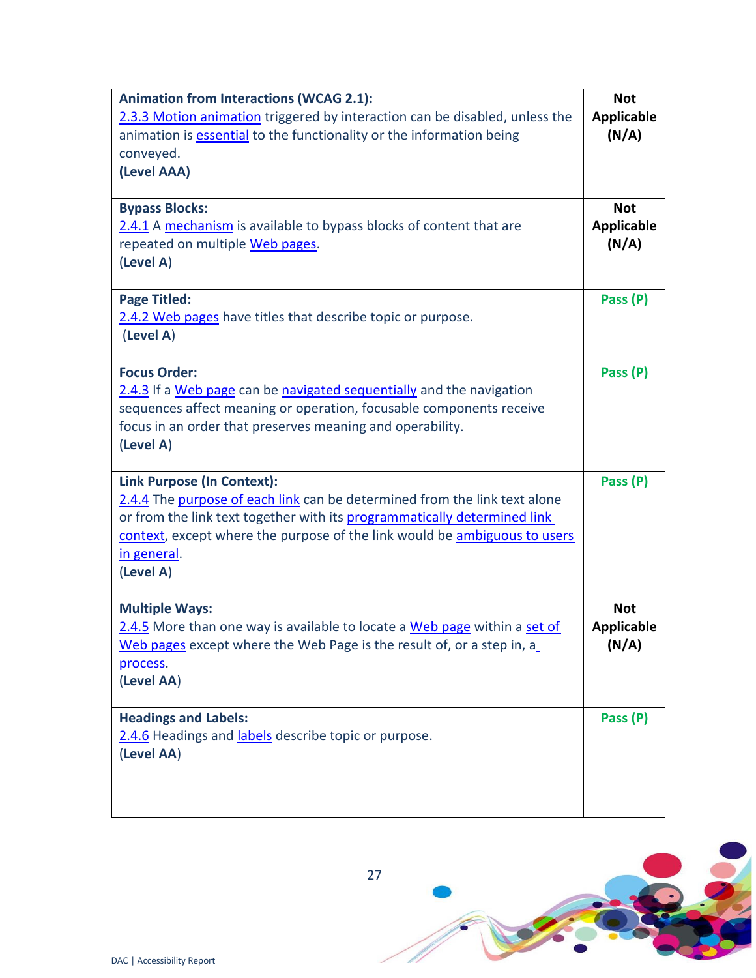| <b>Animation from Interactions (WCAG 2.1):</b><br>2.3.3 Motion animation triggered by interaction can be disabled, unless the<br>animation is essential to the functionality or the information being<br>conveyed.<br>(Level AAA)                                                            | <b>Not</b><br><b>Applicable</b><br>(N/A) |
|----------------------------------------------------------------------------------------------------------------------------------------------------------------------------------------------------------------------------------------------------------------------------------------------|------------------------------------------|
| <b>Bypass Blocks:</b><br>2.4.1 A mechanism is available to bypass blocks of content that are<br>repeated on multiple Web pages.<br>(Level A)                                                                                                                                                 | <b>Not</b><br><b>Applicable</b><br>(N/A) |
| <b>Page Titled:</b><br>2.4.2 Web pages have titles that describe topic or purpose.<br>(Level A)                                                                                                                                                                                              | Pass (P)                                 |
| <b>Focus Order:</b><br>2.4.3 If a Web page can be navigated sequentially and the navigation<br>sequences affect meaning or operation, focusable components receive<br>focus in an order that preserves meaning and operability.<br>(Level A)                                                 | Pass (P)                                 |
| Link Purpose (In Context):<br>2.4.4 The purpose of each link can be determined from the link text alone<br>or from the link text together with its programmatically determined link<br>context, except where the purpose of the link would be ambiguous to users<br>in general.<br>(Level A) | Pass (P)                                 |
| <b>Multiple Ways:</b><br>2.4.5 More than one way is available to locate a Web page within a set of<br>Web pages except where the Web Page is the result of, or a step in, a<br>process.<br>(Level AA)                                                                                        | <b>Not</b><br><b>Applicable</b><br>(N/A) |
| <b>Headings and Labels:</b><br>2.4.6 Headings and labels describe topic or purpose.<br>(Level AA)                                                                                                                                                                                            | Pass (P)                                 |

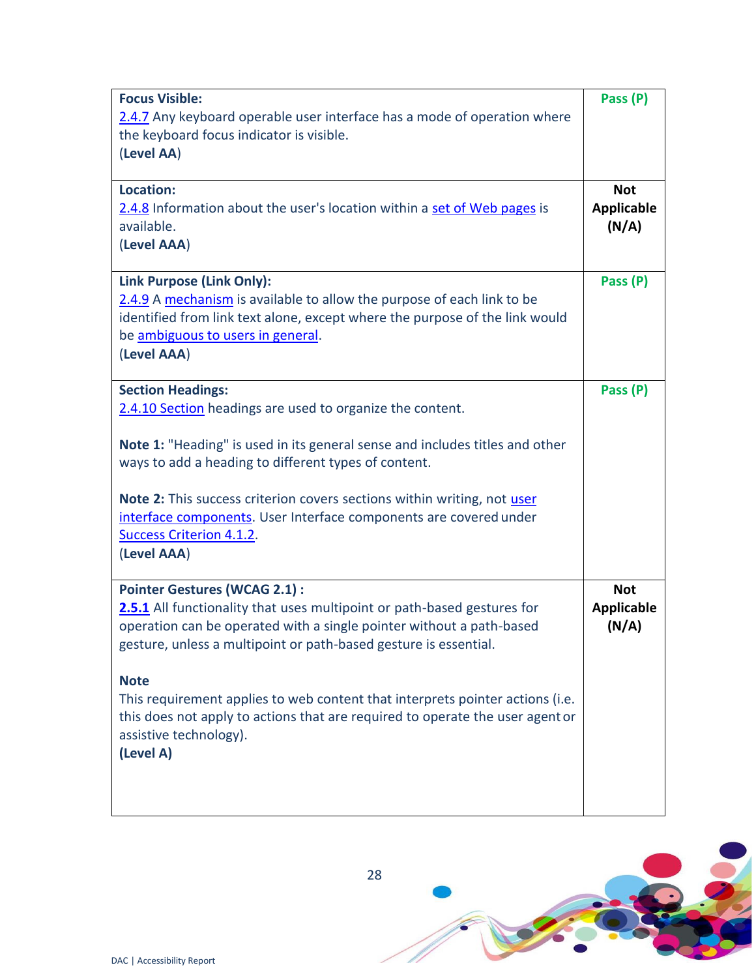| <b>Focus Visible:</b><br>2.4.7 Any keyboard operable user interface has a mode of operation where<br>the keyboard focus indicator is visible.<br>(Level AA)                                                                                                                                                                                                                                                                                                                        | Pass (P)                                 |
|------------------------------------------------------------------------------------------------------------------------------------------------------------------------------------------------------------------------------------------------------------------------------------------------------------------------------------------------------------------------------------------------------------------------------------------------------------------------------------|------------------------------------------|
| Location:<br>2.4.8 Information about the user's location within a set of Web pages is<br>available.<br>(Level AAA)                                                                                                                                                                                                                                                                                                                                                                 | <b>Not</b><br><b>Applicable</b><br>(N/A) |
| <b>Link Purpose (Link Only):</b><br>2.4.9 A mechanism is available to allow the purpose of each link to be<br>identified from link text alone, except where the purpose of the link would<br>be ambiguous to users in general.<br>(Level AAA)                                                                                                                                                                                                                                      | Pass (P)                                 |
| <b>Section Headings:</b><br>2.4.10 Section headings are used to organize the content.<br>Note 1: "Heading" is used in its general sense and includes titles and other<br>ways to add a heading to different types of content.<br>Note 2: This success criterion covers sections within writing, not user<br>interface components. User Interface components are covered under<br><b>Success Criterion 4.1.2.</b><br>(Level AAA)                                                    | Pass (P)                                 |
| <b>Pointer Gestures (WCAG 2.1):</b><br>2.5.1 All functionality that uses multipoint or path-based gestures for<br>operation can be operated with a single pointer without a path-based<br>gesture, unless a multipoint or path-based gesture is essential.<br><b>Note</b><br>This requirement applies to web content that interprets pointer actions (i.e.<br>this does not apply to actions that are required to operate the user agent or<br>assistive technology).<br>(Level A) | <b>Not</b><br><b>Applicable</b><br>(N/A) |

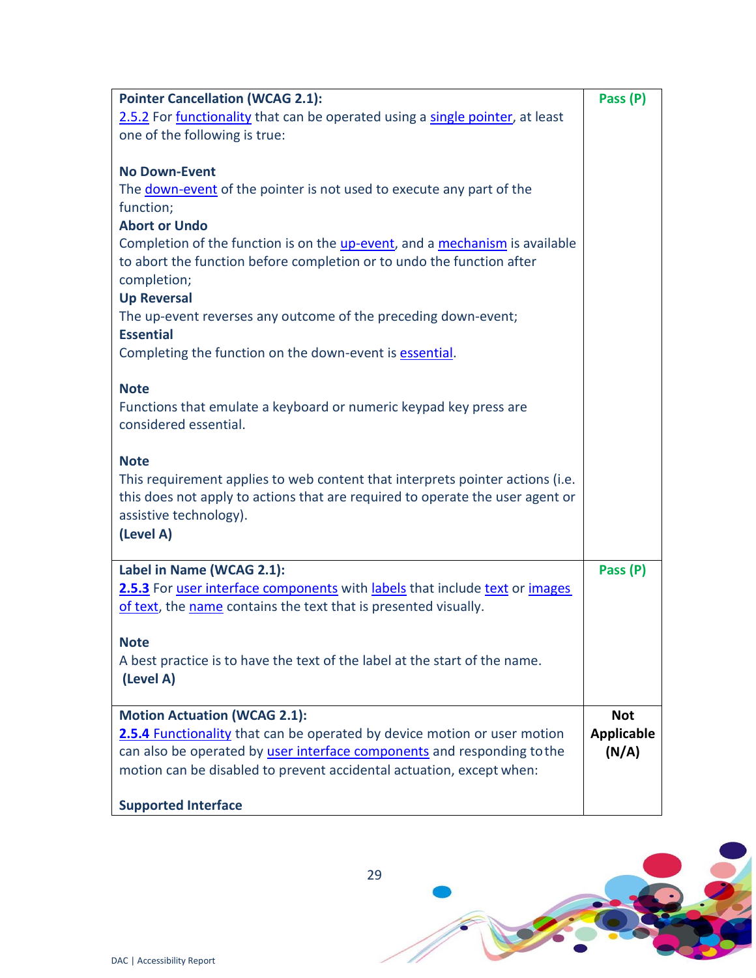| <b>Pointer Cancellation (WCAG 2.1):</b>                                                      | Pass (P)          |
|----------------------------------------------------------------------------------------------|-------------------|
| 2.5.2 For functionality that can be operated using a single pointer, at least                |                   |
| one of the following is true:                                                                |                   |
|                                                                                              |                   |
| <b>No Down-Event</b>                                                                         |                   |
| The <b>down-event</b> of the pointer is not used to execute any part of the                  |                   |
| function;                                                                                    |                   |
| <b>Abort or Undo</b>                                                                         |                   |
| Completion of the function is on the up-event, and a mechanism is available                  |                   |
| to abort the function before completion or to undo the function after                        |                   |
| completion;                                                                                  |                   |
| <b>Up Reversal</b>                                                                           |                   |
| The up-event reverses any outcome of the preceding down-event;                               |                   |
| <b>Essential</b>                                                                             |                   |
| Completing the function on the down-event is essential.                                      |                   |
|                                                                                              |                   |
| <b>Note</b>                                                                                  |                   |
| Functions that emulate a keyboard or numeric keypad key press are                            |                   |
| considered essential.                                                                        |                   |
|                                                                                              |                   |
| <b>Note</b><br>This requirement applies to web content that interprets pointer actions (i.e. |                   |
| this does not apply to actions that are required to operate the user agent or                |                   |
| assistive technology).                                                                       |                   |
| (Level A)                                                                                    |                   |
|                                                                                              |                   |
| Label in Name (WCAG 2.1):                                                                    | Pass (P)          |
| 2.5.3 For user interface components with labels that include text or images                  |                   |
| of text, the name contains the text that is presented visually.                              |                   |
|                                                                                              |                   |
| <b>Note</b>                                                                                  |                   |
| A best practice is to have the text of the label at the start of the name.                   |                   |
| (Level A)                                                                                    |                   |
|                                                                                              |                   |
| <b>Motion Actuation (WCAG 2.1):</b>                                                          | <b>Not</b>        |
| 2.5.4 Functionality that can be operated by device motion or user motion                     | <b>Applicable</b> |
| can also be operated by user interface components and responding to the                      | (N/A)             |
| motion can be disabled to prevent accidental actuation, except when:                         |                   |
|                                                                                              |                   |
| <b>Supported Interface</b>                                                                   |                   |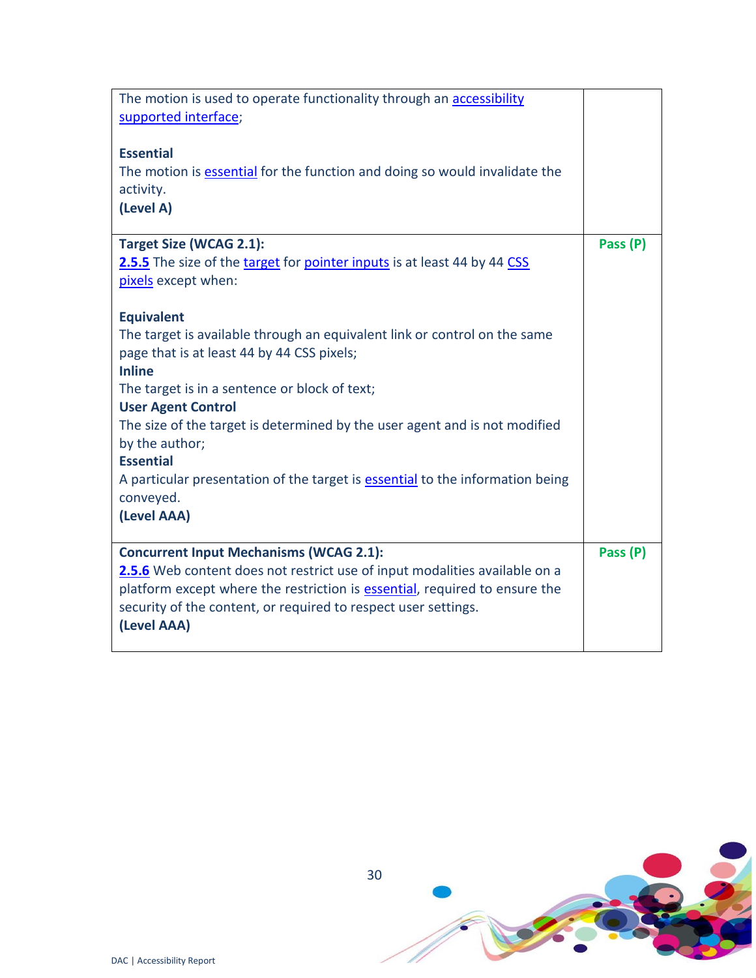| The motion is used to operate functionality through an <b>accessibility</b><br>supported interface; |          |
|-----------------------------------------------------------------------------------------------------|----------|
| <b>Essential</b>                                                                                    |          |
| The motion is <b>essential</b> for the function and doing so would invalidate the                   |          |
| activity.                                                                                           |          |
| (Level A)                                                                                           |          |
|                                                                                                     |          |
| Target Size (WCAG 2.1):                                                                             | Pass (P) |
| 2.5.5 The size of the target for pointer inputs is at least 44 by 44 CSS                            |          |
| pixels except when:                                                                                 |          |
|                                                                                                     |          |
| <b>Equivalent</b>                                                                                   |          |
| The target is available through an equivalent link or control on the same                           |          |
| page that is at least 44 by 44 CSS pixels;                                                          |          |
| <b>Inline</b>                                                                                       |          |
| The target is in a sentence or block of text;                                                       |          |
| <b>User Agent Control</b>                                                                           |          |
| The size of the target is determined by the user agent and is not modified                          |          |
| by the author;                                                                                      |          |
| <b>Essential</b>                                                                                    |          |
| A particular presentation of the target is <b>essential</b> to the information being                |          |
| conveyed.                                                                                           |          |
| (Level AAA)                                                                                         |          |
|                                                                                                     |          |
| <b>Concurrent Input Mechanisms (WCAG 2.1):</b>                                                      | Pass (P) |
| 2.5.6 Web content does not restrict use of input modalities available on a                          |          |
| platform except where the restriction is essential, required to ensure the                          |          |
| security of the content, or required to respect user settings.                                      |          |
| (Level AAA)                                                                                         |          |
|                                                                                                     |          |

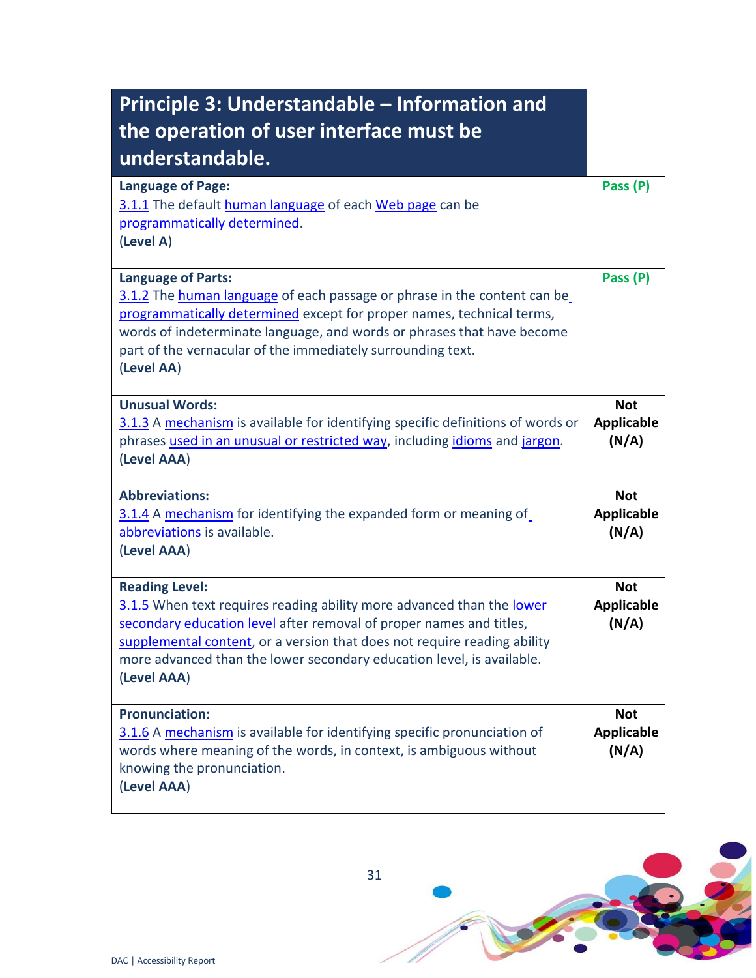| Principle 3: Understandable - Information and<br>the operation of user interface must be<br>understandable.                                                                                                                                                                                                                               |                                          |
|-------------------------------------------------------------------------------------------------------------------------------------------------------------------------------------------------------------------------------------------------------------------------------------------------------------------------------------------|------------------------------------------|
| <b>Language of Page:</b><br>3.1.1 The default human language of each Web page can be<br>programmatically determined.<br>(Level A)                                                                                                                                                                                                         | Pass (P)                                 |
| <b>Language of Parts:</b><br>3.1.2 The human language of each passage or phrase in the content can be<br>programmatically determined except for proper names, technical terms,<br>words of indeterminate language, and words or phrases that have become<br>part of the vernacular of the immediately surrounding text.<br>(Level AA)     | Pass (P)                                 |
| <b>Unusual Words:</b><br>3.1.3 A mechanism is available for identifying specific definitions of words or<br>phrases used in an unusual or restricted way, including idioms and jargon.<br>(Level AAA)                                                                                                                                     | <b>Not</b><br><b>Applicable</b><br>(N/A) |
| <b>Abbreviations:</b><br>3.1.4 A mechanism for identifying the expanded form or meaning of<br>abbreviations is available.<br>(Level AAA)                                                                                                                                                                                                  | <b>Not</b><br><b>Applicable</b><br>(N/A) |
| <b>Reading Level:</b><br>3.1.5 When text requires reading ability more advanced than the lower<br>secondary education level after removal of proper names and titles,<br>supplemental content, or a version that does not require reading ability<br>more advanced than the lower secondary education level, is available.<br>(Level AAA) | <b>Not</b><br><b>Applicable</b><br>(N/A) |
| <b>Pronunciation:</b><br>3.1.6 A mechanism is available for identifying specific pronunciation of<br>words where meaning of the words, in context, is ambiguous without<br>knowing the pronunciation.<br>(Level AAA)                                                                                                                      | <b>Not</b><br><b>Applicable</b><br>(N/A) |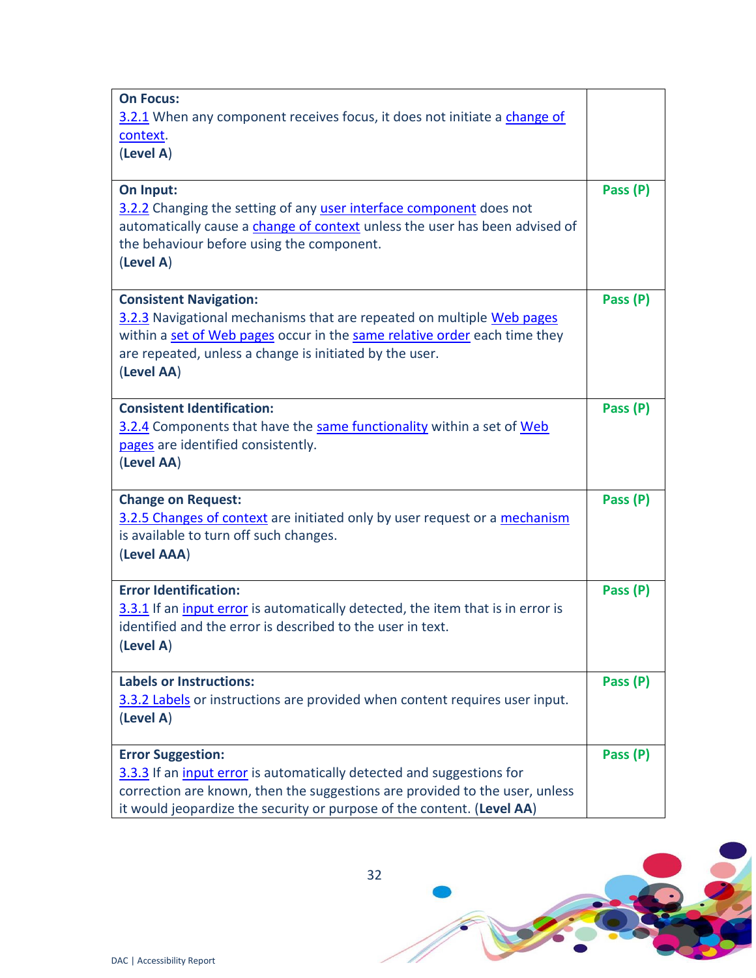| <b>On Focus:</b>                                                                |          |
|---------------------------------------------------------------------------------|----------|
| 3.2.1 When any component receives focus, it does not initiate a change of       |          |
| context.                                                                        |          |
| (Level A)                                                                       |          |
|                                                                                 |          |
| On Input:                                                                       | Pass (P) |
| 3.2.2 Changing the setting of any user interface component does not             |          |
| automatically cause a change of context unless the user has been advised of     |          |
| the behaviour before using the component.                                       |          |
| (Level A)                                                                       |          |
|                                                                                 |          |
| <b>Consistent Navigation:</b>                                                   | Pass (P) |
| 3.2.3 Navigational mechanisms that are repeated on multiple Web pages           |          |
| within a set of Web pages occur in the same relative order each time they       |          |
| are repeated, unless a change is initiated by the user.                         |          |
| (Level AA)                                                                      |          |
|                                                                                 |          |
| <b>Consistent Identification:</b>                                               | Pass (P) |
| 3.2.4 Components that have the same functionality within a set of Web           |          |
| pages are identified consistently.                                              |          |
| (Level AA)                                                                      |          |
|                                                                                 |          |
| <b>Change on Request:</b>                                                       | Pass (P) |
| 3.2.5 Changes of context are initiated only by user request or a mechanism      |          |
| is available to turn off such changes.                                          |          |
| (Level AAA)                                                                     |          |
|                                                                                 |          |
| <b>Error Identification:</b>                                                    | Pass (P) |
| 3.3.1 If an input error is automatically detected, the item that is in error is |          |
| identified and the error is described to the user in text.                      |          |
| (Level A)                                                                       |          |
|                                                                                 |          |
| <b>Labels or Instructions:</b>                                                  | Pass (P) |
| 3.3.2 Labels or instructions are provided when content requires user input.     |          |
| (Level A)                                                                       |          |
|                                                                                 |          |
| <b>Error Suggestion:</b>                                                        | Pass (P) |
| 3.3.3 If an <i>input error</i> is automatically detected and suggestions for    |          |
| correction are known, then the suggestions are provided to the user, unless     |          |
|                                                                                 |          |
| it would jeopardize the security or purpose of the content. (Level AA)          |          |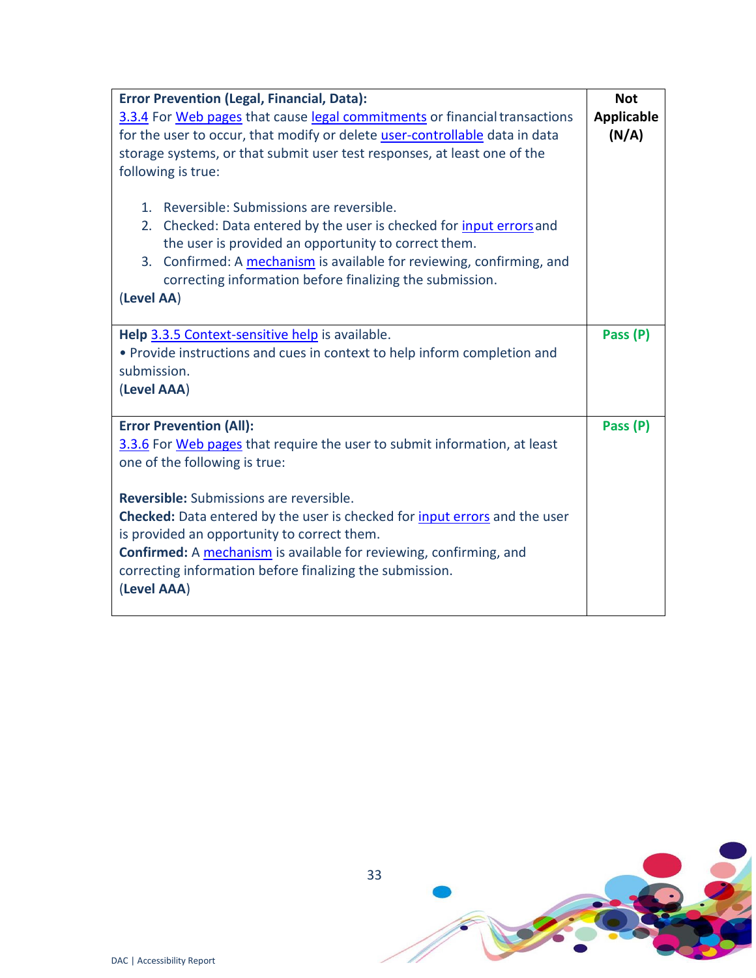| <b>Error Prevention (Legal, Financial, Data):</b>                                                                                                                                                                                                                                                                                   | <b>Not</b>        |  |  |
|-------------------------------------------------------------------------------------------------------------------------------------------------------------------------------------------------------------------------------------------------------------------------------------------------------------------------------------|-------------------|--|--|
| 3.3.4 For Web pages that cause legal commitments or financial transactions                                                                                                                                                                                                                                                          | <b>Applicable</b> |  |  |
| for the user to occur, that modify or delete user-controllable data in data                                                                                                                                                                                                                                                         |                   |  |  |
| storage systems, or that submit user test responses, at least one of the                                                                                                                                                                                                                                                            |                   |  |  |
| following is true:                                                                                                                                                                                                                                                                                                                  |                   |  |  |
| 1. Reversible: Submissions are reversible.<br>2. Checked: Data entered by the user is checked for input errors and<br>the user is provided an opportunity to correct them.<br>3. Confirmed: A mechanism is available for reviewing, confirming, and<br>correcting information before finalizing the submission.<br>(Level AA)       |                   |  |  |
| Help 3.3.5 Context-sensitive help is available.                                                                                                                                                                                                                                                                                     | Pass (P)          |  |  |
| • Provide instructions and cues in context to help inform completion and                                                                                                                                                                                                                                                            |                   |  |  |
| submission.                                                                                                                                                                                                                                                                                                                         |                   |  |  |
| (Level AAA)                                                                                                                                                                                                                                                                                                                         |                   |  |  |
|                                                                                                                                                                                                                                                                                                                                     |                   |  |  |
| <b>Error Prevention (All):</b>                                                                                                                                                                                                                                                                                                      | Pass (P)          |  |  |
| 3.3.6 For Web pages that require the user to submit information, at least                                                                                                                                                                                                                                                           |                   |  |  |
| one of the following is true:                                                                                                                                                                                                                                                                                                       |                   |  |  |
| Reversible: Submissions are reversible.<br>Checked: Data entered by the user is checked for <i>input errors</i> and the user<br>is provided an opportunity to correct them.<br><b>Confirmed:</b> A mechanism is available for reviewing, confirming, and<br>correcting information before finalizing the submission.<br>(Level AAA) |                   |  |  |

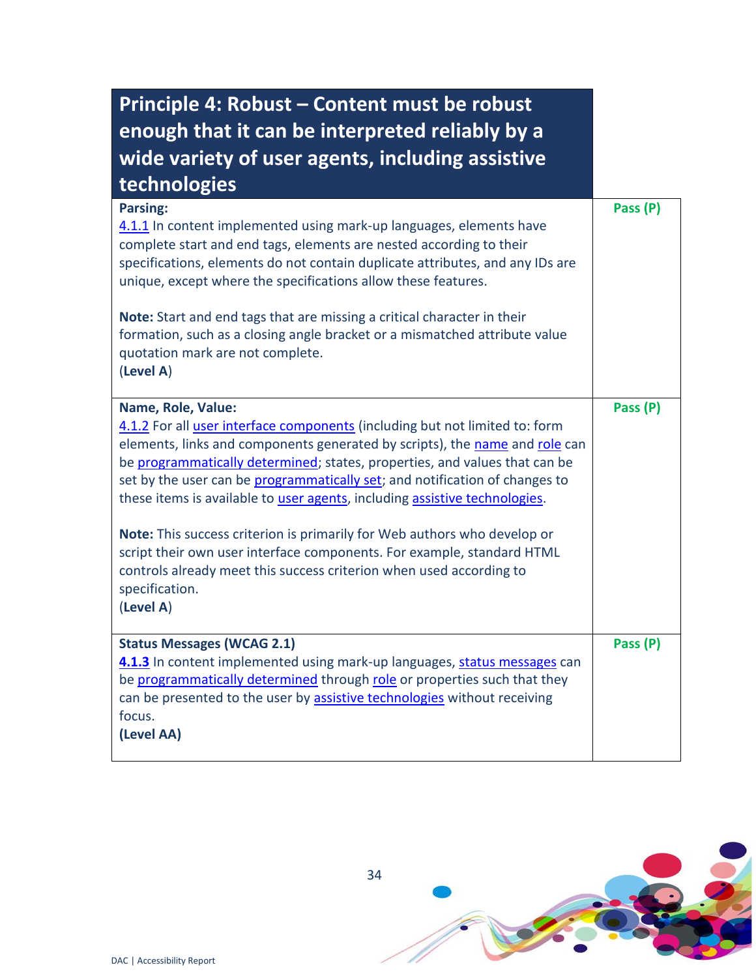| Principle 4: Robust – Content must be robust<br>enough that it can be interpreted reliably by a<br>wide variety of user agents, including assistive<br>technologies                                                                                                                                                                                                                                                                                                                                                                                                                                                                                                                     |          |
|-----------------------------------------------------------------------------------------------------------------------------------------------------------------------------------------------------------------------------------------------------------------------------------------------------------------------------------------------------------------------------------------------------------------------------------------------------------------------------------------------------------------------------------------------------------------------------------------------------------------------------------------------------------------------------------------|----------|
| <b>Parsing:</b><br>4.1.1 In content implemented using mark-up languages, elements have<br>complete start and end tags, elements are nested according to their<br>specifications, elements do not contain duplicate attributes, and any IDs are<br>unique, except where the specifications allow these features.<br>Note: Start and end tags that are missing a critical character in their<br>formation, such as a closing angle bracket or a mismatched attribute value<br>quotation mark are not complete.<br>(Level A)                                                                                                                                                               | Pass (P) |
| Name, Role, Value:<br>4.1.2 For all user interface components (including but not limited to: form<br>elements, links and components generated by scripts), the name and role can<br>be programmatically determined; states, properties, and values that can be<br>set by the user can be programmatically set; and notification of changes to<br>these items is available to user agents, including assistive technologies.<br>Note: This success criterion is primarily for Web authors who develop or<br>script their own user interface components. For example, standard HTML<br>controls already meet this success criterion when used according to<br>specification.<br>(Level A) | Pass (P) |
| <b>Status Messages (WCAG 2.1)</b><br>4.1.3 In content implemented using mark-up languages, status messages can<br>be programmatically determined through role or properties such that they<br>can be presented to the user by assistive technologies without receiving<br>focus.<br>(Level AA)                                                                                                                                                                                                                                                                                                                                                                                          | Pass (P) |

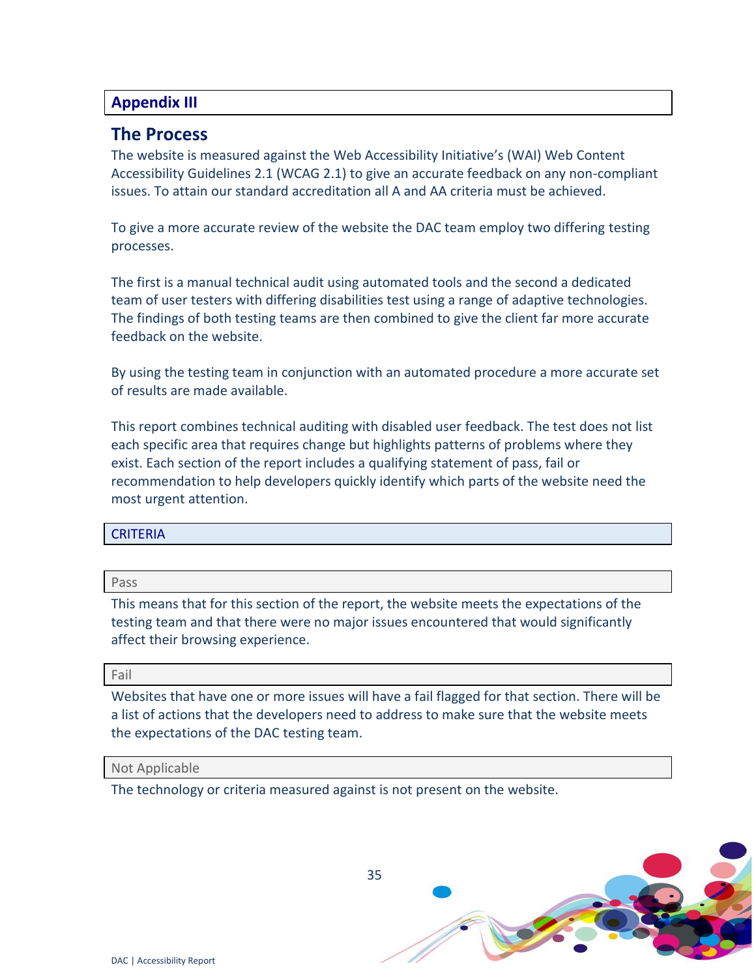### <span id="page-34-0"></span>**Appendix III**

### <span id="page-34-1"></span>**The Process**

The website is measured against the Web Accessibility Initiative's (WAI) Web Content Accessibility Guidelines 2.1 (WCAG 2.1) to give an accurate feedback on any non-compliant issues. To attain our standard accreditation all A and AA criteria must be achieved.

To give a more accurate review of the website the DAC team employ two differing testing processes.

The first is a manual technical audit using automated tools and the second a dedicated team of user testers with differing disabilities test using a range of adaptive technologies. The findings of both testing teams are then combined to give the client far more accurate feedback on the website.

By using the testing team in conjunction with an automated procedure a more accurate set of results are made available.

This report combines technical auditing with disabled user feedback. The test does not list each specific area that requires change but highlights patterns of problems where they exist. Each section of the report includes a qualifying statement of pass, fail or recommendation to help developers quickly identify which parts of the website need the most urgent attention.

<span id="page-34-2"></span>

| $\sqrt{2}$ |  |  |
|------------|--|--|
|            |  |  |

#### Pass

This means that for this section of the report, the website meets the expectations of the testing team and that there were no major issues encountered that would significantly affect their browsing experience.

#### Fail

Websites that have one or more issues will have a fail flagged for that section. There will be a list of actions that the developers need to address to make sure that the website meets the expectations of the DAC testing team.

#### Not Applicable

The technology or criteria measured against is not present on the website.

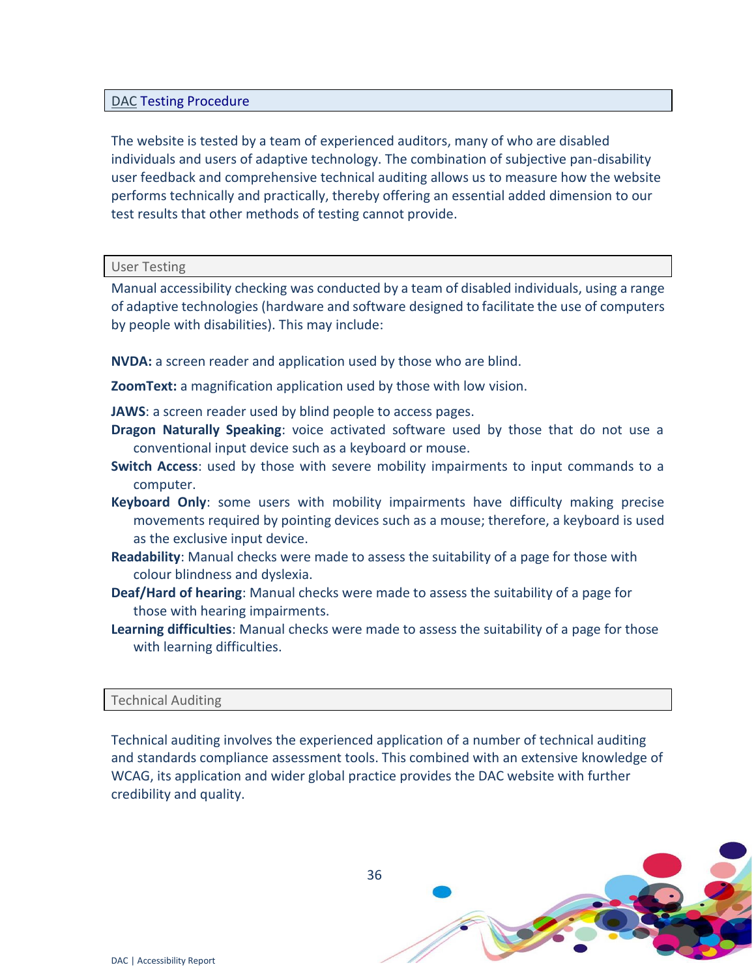#### <span id="page-35-0"></span>[DAC](http://www.digitalaccessibilitycentre.org/) Testing Procedure

The website is tested by a team of experienced auditors, many of who are disabled individuals and users of adaptive technology. The combination of subjective pan-disability user feedback and comprehensive technical auditing allows us to measure how the website performs technically and practically, thereby offering an essential added dimension to our test results that other methods of testing cannot provide.

#### User Testing

Manual accessibility checking was conducted by a team of disabled individuals, using a range of adaptive technologies (hardware and software designed to facilitate the use of computers by people with disabilities). This may include:

**NVDA:** a screen reader and application used by those who are blind.

**ZoomText:** a magnification application used by those with low vision.

**JAWS**: a screen reader used by blind people to access pages.

- **Dragon Naturally Speaking**: voice activated software used by those that do not use a conventional input device such as a keyboard or mouse.
- **Switch Access**: used by those with severe mobility impairments to input commands to a computer.
- **Keyboard Only**: some users with mobility impairments have difficulty making precise movements required by pointing devices such as a mouse; therefore, a keyboard is used as the exclusive input device.
- **Readability**: Manual checks were made to assess the suitability of a page for those with colour blindness and dyslexia.
- **Deaf/Hard of hearing**: Manual checks were made to assess the suitability of a page for those with hearing impairments.
- **Learning difficulties**: Manual checks were made to assess the suitability of a page for those with learning difficulties.

| <b>Technical Auditing</b> |  |
|---------------------------|--|

Technical auditing involves the experienced application of a number of technical auditing and standards compliance assessment tools. This combined with an extensive knowledge of WCAG, its application and wider global practice provides the DAC website with further credibility and quality.